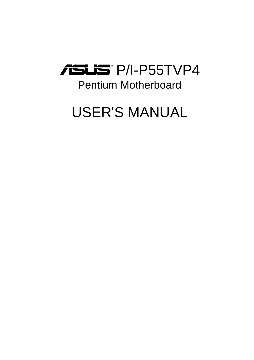

# USER'S MANUAL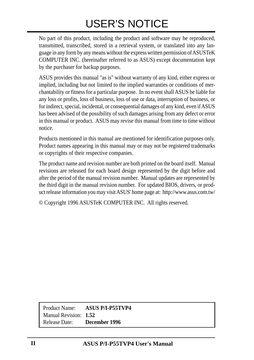# USER'S NOTICE

No part of this product, including the product and software may be reproduced, transmitted, transcribed, stored in a retrieval system, or translated into any language in any form by any means without the express written permission of ASUSTeK COMPUTER INC. (hereinafter referred to as ASUS) except documentation kept by the purchaser for backup purposes.

ASUS provides this manual "as is" without warranty of any kind, either express or implied, including but not limited to the implied warranties or conditions of merchantability or fitness for a particular purpose. In no event shall ASUS be liable for any loss or profits, loss of business, loss of use or data, interruption of business, or for indirect, special, incidental, or consequential damages of any kind, even if ASUS has been advised of the possibility of such damages arising from any defect or error in this manual or product. ASUS may revise this manual from time to time without notice.

Products mentioned in this manual are mentioned for identification purposes only. Product names appearing in this manual may or may not be registered trademarks or copyrights of their respective companies.

The product name and revision number are both printed on the board itself. Manual revisions are released for each board design represented by the digit before and after the period of the manual revision number. Manual updates are represented by the third digit in the manual revision number. For updated BIOS, drivers, or product release information you may visit ASUS' home page at: http://www.asus.com.tw/

© Copyright 1996 ASUSTeK COMPUTER INC. All rights reserved.

Product Name: **ASUS P/I-P55TVP4** Manual Revision: **1.52** Release Date: **December 1996**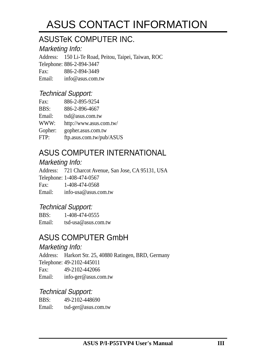# ASUS CONTACT INFORMATION

## ASUSTeK COMPUTER INC.

### Marketing Info:

Address: 150 Li-Te Road, Peitou, Taipei, Taiwan, ROC Telephone: 886-2-894-3447 Fax: 886-2-894-3449

Email: info@asus.com.tw

### Technical Support:

| Fax:    | 886-2-895-9254           |
|---------|--------------------------|
| BBS:    | 886-2-896-4667           |
| Email:  | tsd@asus.com.tw          |
| WWW:    | http://www.asus.com.tw/  |
| Gopher: | gopher.asus.com.tw       |
| FTP:    | ftp.asus.com.tw/pub/ASUS |

# ASUS COMPUTER INTERNATIONAL

### Marketing Info:

Address: 721 Charcot Avenue, San Jose, CA 95131, USA Telephone: 1-408-474-0567 Fax: 1-408-474-0568 Email: info-usa@asus.com.tw

### Technical Support:

BBS: 1-408-474-0555 Email: tsd-usa@asus.com.tw

## ASUS COMPUTER GmbH

### Marketing Info:

Address: Harkort Str. 25, 40880 Ratingen, BRD, Germany Telephone: 49-2102-445011 Fax: 49-2102-442066

Email: info-ger@asus.com.tw

### Technical Support:

| BBS:   | 49-2102-448690      |
|--------|---------------------|
| Email: | tsd-ger@asus.com.tw |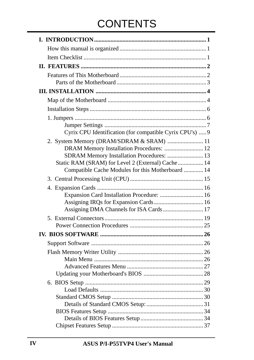# **CONTENTS**

| Cyrix CPU Identification (for compatible Cyrix CPU's)  9                                                                                                                                        |
|-------------------------------------------------------------------------------------------------------------------------------------------------------------------------------------------------|
| DRAM Memory Installation Procedures:  12<br>SDRAM Memory Installation Procedures:  13<br>Static RAM (SRAM) for Level 2 (External) Cache 14<br>Compatible Cache Modules for this Motherboard  14 |
|                                                                                                                                                                                                 |
| Expansion Card Installation Procedure:  16<br>Assigning DMA Channels for ISA Cards  17                                                                                                          |
| <b>Power Connection Procedures</b> .                                                                                                                                                            |
|                                                                                                                                                                                                 |
|                                                                                                                                                                                                 |
|                                                                                                                                                                                                 |
|                                                                                                                                                                                                 |
|                                                                                                                                                                                                 |
|                                                                                                                                                                                                 |
|                                                                                                                                                                                                 |
|                                                                                                                                                                                                 |
|                                                                                                                                                                                                 |
|                                                                                                                                                                                                 |
|                                                                                                                                                                                                 |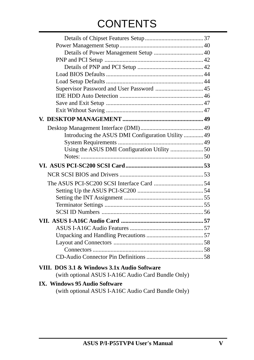# **CONTENTS**

| Introducing the ASUS DMI Configuration Utility  49 |  |
|----------------------------------------------------|--|
|                                                    |  |
|                                                    |  |
|                                                    |  |
|                                                    |  |
|                                                    |  |
|                                                    |  |
|                                                    |  |
|                                                    |  |
|                                                    |  |
|                                                    |  |
|                                                    |  |
|                                                    |  |
|                                                    |  |
|                                                    |  |
|                                                    |  |
|                                                    |  |
| VIII. DOS 3.1 & Windows 3.1x Audio Software        |  |
| (with optional ASUS I-A16C Audio Card Bundle Only) |  |
|                                                    |  |
| IX. Windows 95 Audio Software                      |  |
| (with optional ASUS I-A16C Audio Card Bundle Only) |  |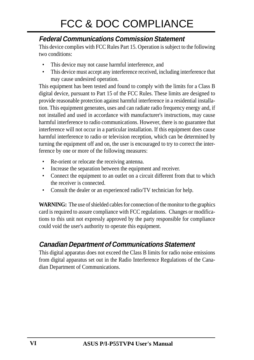### **Federal Communications Commission Statement**

This device complies with FCC Rules Part 15. Operation is subject to the following two conditions:

- This device may not cause harmful interference, and
- This device must accept any interference received, including interference that may cause undesired operation.

This equipment has been tested and found to comply with the limits for a Class B digital device, pursuant to Part 15 of the FCC Rules. These limits are designed to provide reasonable protection against harmful interference in a residential installation. This equipment generates, uses and can radiate radio frequency energy and, if not installed and used in accordance with manufacturer's instructions, may cause harmful interference to radio communications. However, there is no guarantee that interference will not occur in a particular installation. If this equipment does cause harmful interference to radio or television reception, which can be determined by turning the equipment off and on, the user is encouraged to try to correct the interference by one or more of the following measures:

- Re-orient or relocate the receiving antenna.
- Increase the separation between the equipment and receiver.
- Connect the equipment to an outlet on a circuit different from that to which the receiver is connected.
- Consult the dealer or an experienced radio/TV technician for help.

**WARNING:** The use of shielded cables for connection of the monitor to the graphics card is required to assure compliance with FCC regulations. Changes or modifications to this unit not expressly approved by the party responsible for compliance could void the user's authority to operate this equipment.

### **Canadian Department of Communications Statement**

This digital apparatus does not exceed the Class B limits for radio noise emissions from digital apparatus set out in the Radio Interference Regulations of the Canadian Department of Communications.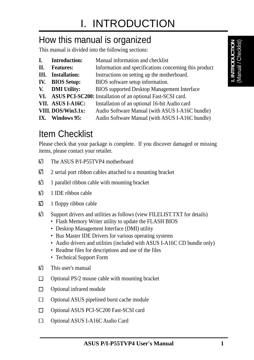# How this manual is organized

This manual is divided into the following sections:

| I.   | <b>Introduction:</b>   | Manual information and checklist                                |
|------|------------------------|-----------------------------------------------------------------|
| П.   | <b>Features:</b>       | Information and specifications concerning this product          |
| III. | <b>Installation:</b>   | Instructions on setting up the motherboard.                     |
|      | <b>IV.</b> BIOS Setup: | BIOS software setup information.                                |
| V.   | <b>DMI</b> Utility:    | <b>BIOS</b> supported Desktop Management Interface              |
|      |                        | VI. ASUS PCI-SC200: Installation of an optional Fast-SCSI card. |
|      | VII. ASUS I-A16C:      | Installation of an optional 16-bit Audio card                   |
|      | VIII. DOS/Win3.1x:     | Audio Software Manual (with ASUS I-A16C bundle)                 |
|      | IX. Windows 95:        | Audio Software Manual (with ASUS I-A16C bundle)                 |

# Item Checklist

Please check that your package is complete. If you discover damaged or missing items, please contact your retailer.

- √ The ASUS P/I-P55TVP4 motherboard
- $\Box$  2 serial port ribbon cables attached to a mounting bracket
- $\Box$  1 parallel ribbon cable with mounting bracket
- $\overline{M}$  1 IDE ribbon cable
- $\Box$  1 floppy ribbon cable
- $\Box$  Support drivers and utilities as follows (view FILELIST.TXT for details)
	- Flash Memory Writer utility to update the FLASH BIOS
	- Desktop Management Interface (DMI) utility
	- Bus Master IDE Drivers for various operating systems
	- Audio drivers and utilities (included with ASUS I-A16C CD bundle only)
	- Readme files for descriptions and use of the files
	- Technical Support Form
- $\nabla$  This user's manual
- $\Box$ Optional PS/2 mouse cable with mounting bracket
- $\Box$ Optional infrared module
- $\Box$ Optional ASUS pipelined burst cache module
- $\Box$ Optional ASUS PCI-SC200 Fast-SCSI card
- $\Box$ Optional ASUS I-A16C Audio Card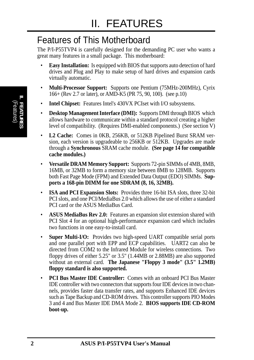# Features of This Motherboard

The P/I-P55TVP4 is carefully designed for the demanding PC user who wants a great many features in a small package. This motherboard:

- **Easy Installation:** Is equipped with BIOS that supports auto detection of hard drives and Plug and Play to make setup of hard drives and expansion cards virtually automatic.
- **Multi-Processor Support:** Supports one Pentium (75MHz-200MHz), Cyrix 166+ (Rev 2.7 or later), or AMD-K5 (PR 75, 90, 100). (see p.10)
- **Intel Chipset:** Features Intel's 430VX PCIset with I/O subsystems.
- **Desktop Management Interface (DMI):** Supports DMI through BIOS which allows hardware to communicate within a standard protocol creating a higher level of compatibility. (Requires DMI-enabled components.) (See section V)
- **L2 Cache:** Comes in 0KB, 256KB, or 512KB Pipelined Burst SRAM version, each version is upgradeable to 256KB or 512KB. Upgrades are made through a **Synchronous** SRAM cache module. **(See page 14 for compatible cache modules.)**
- **Versatile DRAM Memory Support:** Supports 72-pin SIMMs of 4MB, 8MB, 16MB, or 32MB to form a memory size between 8MB to 128MB. Supports both Fast Page Mode (FPM) and Extended Data Output (EDO) SIMMs. **Supports a 168-pin DIMM for one SDRAM (8, 16, 32MB).**
- **ISA and PCI Expansion Slots:** Provides three 16-bit ISA slots, three 32-bit PCI slots, and one PCI/MediaBus 2.0 which allows the use of either a standard PCI card or the ASUS MediaBus Card.
- **ASUS MediaBus Rev 2.0:** Features an expansion slot extension shared with PCI Slot 4 for an optional high-performance expansion card which includes two functions in one easy-to-install card.
- **Super Multi-I/O:** Provides two high-speed UART compatible serial ports and one parallel port with EPP and ECP capabilities. UART2 can also be directed from COM2 to the Infrared Module for wireless connections. Two floppy drives of either 5.25" or 3.5" (1.44MB or 2.88MB) are also supported without an external card. **The Japanese "Floppy 3 mode" (3.5" 1.2MB) floppy standard is also supported.**
- **PCI Bus Master IDE Controller:** Comes with an onboard PCI Bus Master IDE controller with two connectors that supports four IDE devices in two channels, provides faster data transfer rates, and supports Enhanced IDE devices such as Tape Backup and CD-ROM drives. This controller supports PIO Modes 3 and 4 and Bus Master IDE DMA Mode 2. **BIOS supports IDE CD-ROM boot-up.**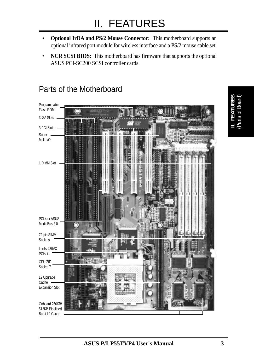- **Optional IrDA and PS/2 Mouse Connector:** This motherboard supports an optional infrared port module for wireless interface and a PS/2 mouse cable set.
- **NCR SCSI BIOS:** This motherboard has firmware that supports the optional ASUS PCI-SC200 SCSI controller cards.



### Parts of the Motherboard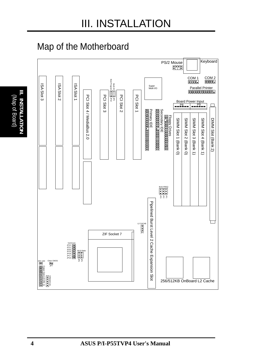# Map of the Motherboard

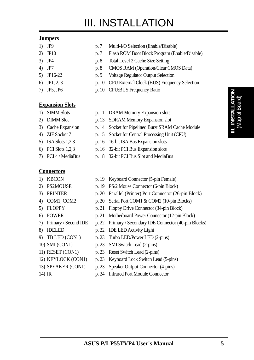# III. INSTALLATION

#### **Jumpers**

- 
- 
- 
- 
- 
- 

#### **Expansion Slots**

- 
- 
- 
- 
- 
- 
- 

#### **Connectors**

- 
- 
- 
- 
- 
- 
- 
- 
- 
- 
- 
- 
- 
- 
- 1) JP9 p. 7 Multi-I/O Selection (Enable/Disable)
- 2) JP10 p. 7 Flash ROM Boot Block Program (Enable/Disable)
- 3) JP4 p. 8 Total Level 2 Cache Size Setting
- 4) JP7 p. 8 CMOS RAM (Operation/Clear CMOS Data)
- 5) JP16-22 p. 9 Voltage Regulator Output Selection
- 6) JP1, 2, 3 p. 10 CPU External Clock (BUS) Frequency Selection
- 7) JP5, JP6 p. 10 CPU:BUS Frequency Ratio
- 1) SIMM Slots p. 11 DRAM Memory Expansion slots
- 2) DIMM Slot p. 13 SDRAM Memory Expansion slot
- 3) Cache Expansion p. 14 Socket for Pipelined Burst SRAM Cache Module
- 4) ZIF Socket 7 p. 15 Socket for Central Processing Unit (CPU)
- 5) ISA Slots 1,2,3 p. 16 16-bit ISA Bus Expansion slots
- 6) PCI Slots 1,2,3 p. 16 32-bit PCI Bus Expansion slots
- 7) PCI 4 / MediaBus p. 18 32-bit PCI Bus Slot and MediaBus
- 1) KBCON p. 19 Keyboard Connector (5-pin Female)
- 2) PS2MOUSE p. 19 PS/2 Mouse Connector (6-pin Block)
- 3) PRINTER p. 20 Parallel (Printer) Port Connector (26-pin Block)
- 4) COM1, COM2 p. 20 Serial Port COM1 & COM2 (10-pin Blocks)
- 5) FLOPPY p. 21 Floppy Drive Connector (34-pin Block)
- 6) POWER p. 21 Motherboard Power Connector (12-pin Block)
- 7) Primary / Second IDE p. 22 Primary / Secondary IDE Connector (40-pin Blocks)
- 8) IDELED p. 22 IDE LED Activity Light
- 9) TB LED (CON1) p. 23 Turbo LED/Power LED (2-pins)
- 10) SMI (CON1) p. 23 SMI Switch Lead (2-pins)
- 11) RESET (CON1) p. 23 Reset Switch Lead (2-pins)
- 12) KEYLOCK (CON1) p. 23 Keyboard Lock Switch Lead (5-pins)
- 13) SPEAKER (CON1) p. 23 Speaker Output Connector (4-pins)
- 14) IR p. 24 Infrared Port Module Connector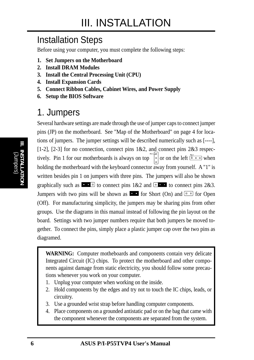# Installation Steps

Before using your computer, you must complete the following steps:

- **1. Set Jumpers on the Motherboard**
- **2. Install DRAM Modules**
- **3. Install the Central Processing Unit (CPU)**
- **4. Install Expansion Cards**
- **5. Connect Ribbon Cables, Cabinet Wires, and Power Supply**
- **6. Setup the BIOS Software**

# 1. Jumpers

Several hardware settings are made through the use of jumper caps to connect jumper pins (JP) on the motherboard. See "Map of the Motherboard" on page 4 for locations of jumpers. The jumper settings will be described numerically such as [----], [1-2], [2-3] for no connection, connect pins  $1&2$ , and connect pins  $2&3$  respectively. Pin 1 for our motherboards is always on top  $\int_{0}^{\frac{p_{\text{max}}}{n}}$  or on the left  $\frac{p_{\text{max}}}{n}$  when holding the motherboard with the keyboard connector away from yourself. A "1" is written besides pin 1 on jumpers with three pins. The jumpers will also be shown graphically such as  $\bullet \bullet \bullet$  to connect pins  $1\&2$  and  $\bullet \bullet \bullet$  to connect pins  $2\&3$ . Jumpers with two pins will be shown as  $\Box$  for Short (On) and  $\Box$  for Open (Off). For manufacturing simplicity, the jumpers may be sharing pins from other groups. Use the diagrams in this manual instead of following the pin layout on the board. Settings with two jumper numbers require that both jumpers be moved together. To connect the pins, simply place a plastic jumper cap over the two pins as diagramed.

**WARNING:** Computer motheboards and components contain very delicate Integrated Circuit (IC) chips. To protect the motherboard and other components against damage from static electricity, you should follow some precautions whenever you work on your computer.

- 1. Unplug your computer when working on the inside.
- 2. Hold components by the edges and try not to touch the IC chips, leads, or circuitry.
- 3. Use a grounded wrist strap before handling computer components.
- 4. Place components on a grounded antistatic pad or on the bag that came with the component whenever the components are separated from the system.

(Jumpers) **III. INSTALLATION**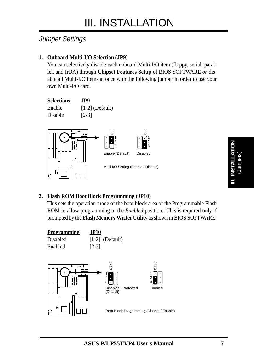### Jumper Settings

#### **1. Onboard Multi-I/O Selection (JP9)**

You can selectively disable each onboard Multi-I/O item (floppy, serial, parallel, and IrDA) through **Chipset Features Setup** of BIOS SOFTWARE *or* disable all Multi-I/O items at once with the following jumper in order to use your own Multi-I/O card.

| <b>Selections</b> | JP9               |
|-------------------|-------------------|
| Enable            | $[1-2]$ (Default) |
| Disable           | $[2-3]$           |



#### **2. Flash ROM Boot Block Programming (JP10)**

This sets the operation mode of the boot block area of the Programmable Flash ROM to allow programming in the *Enabled* position. This is required only if prompted by the **Flash Memory Writer Utility** as shown in BIOS SOFTWARE.



**III. INSTALLATION** (Jumpers)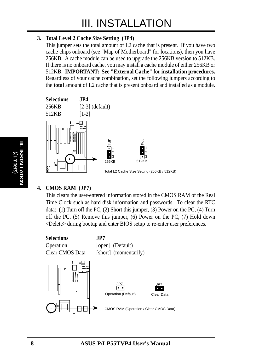#### **3. Total Level 2 Cache Size Setting (JP4)**

This jumper sets the total amount of L2 cache that is present. If you have two cache chips onboard (see "Map of Motherboard" for locations), then you have 256KB. A cache module can be used to upgrade the 256KB version to 512KB. If there is no onboard cache, you may install a cache module of either 256KB or 512KB. **IMPORTANT: See "External Cache" for installation procedures.** Regardless of your cache combination, set the following jumpers according to the **total** amount of L2 cache that is present onboard and installed as a module.



#### **4. CMOS RAM (JP7)**

This clears the user-entered information stored in the CMOS RAM of the Real Time Clock such as hard disk information and passwords. To clear the RTC data: (1) Turn off the PC, (2) Short this jumper, (3) Power on the PC, (4) Turn off the PC, (5) Remove this jumper, (6) Power on the PC, (7) Hold down <Delete> during bootup and enter BIOS setup to re-enter user preferences.



Clear CMOS Data [short] (momentarily)



CMOS RAM (Operation / Clear CMOS Data)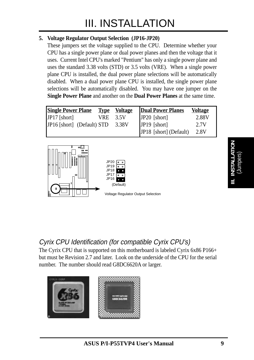#### **5. Voltage Regulator Output Selection (JP16-JP20)**

These jumpers set the voltage supplied to the CPU. Determine whether your CPU has a single power plane or dual power planes and then the voltage that it uses. Current Intel CPU's marked "Pentium" has only a single power plane and uses the standard 3.38 volts (STD) or 3.5 volts (VRE). When a single power plane CPU is installed, the dual power plane selections will be automatically disabled. When a dual power plane CPU is installed, the single power plane selections will be automatically disabled. You may have one jumper on the **Single Power Plane** and another on the **Dual Power Planes** at the same time.

| <b>Single Power Plane</b>         | <b>Type</b> | <b>Voltage</b> | <b>Dual Power Planes</b>   | <b>Voltage</b> |
|-----------------------------------|-------------|----------------|----------------------------|----------------|
| $JP17$ [short]                    | VRE         | 3.5V           | $JP20$ [short]             | 2.88V          |
| <b>JP16</b> [short] (Default) STD |             | 3.38V          | $JP19$ [short]             | 2.7V           |
|                                   |             |                | $ JP18 $ [short] (Default) | 2.8V           |



Voltage Regulator Output Selection

Cyrix CPU Identification (for compatible Cyrix CPU's)

JP20 JP19 JP18 JP17 JP16

(Default)

The Cyrix CPU that is supported on this motherboard is labeled Cyrix 6x86 P166+ but must be Revision 2.7 and later. Look on the underside of the CPU for the serial number. The number should read G8DC6620A or larger.

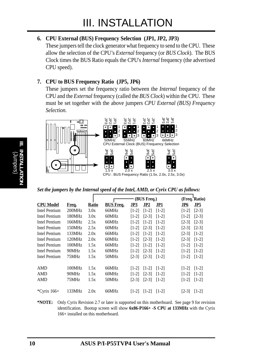#### **6. CPU External (BUS) Frequency Selection (JP1, JP2, JP3)**

These jumpers tell the clock generator what frequency to send to the CPU. These allow the selection of the CPU's *External* frequency (or *BUS Clock*). The BUS Clock times the BUS Ratio equals the CPU's *Internal* frequency (the advertised CPU speed).

#### **7. CPU to BUS Frequency Ratio (JP5, JP6)**

These jumpers set the frequency ratio between the *Internal* frequency of the CPU and the *External* frequency (called the *BUS Clock*) within the CPU. These must be set together with the above jumpers *CPU External (BUS) Frequency Selection.*



*Set the jumpers by the Internal speed of the Intel, AMD, or Cyrix CPU as follows:*

|                      |        |       |                  |                     | (BUS Freq.) |         |                     | (Freq. Ratio)   |
|----------------------|--------|-------|------------------|---------------------|-------------|---------|---------------------|-----------------|
| <b>CPU Model</b>     | Freq.  | Ratio | <b>BUS Freq.</b> | JP3                 | JP2         | JP1     | JP <sub>6</sub>     | JP <sub>5</sub> |
| Intel Pentium        | 200MHz | 3.0x  | 66MHz            | [1-2]               | $[1-2]$     | $[1-2]$ | $[1-2]$             | $[2-3]$         |
| Intel Pentium        | 180MHz | 3.0x  | 60MHz            | $[1-2]$             | $[2-3]$     | $[1-2]$ | $[1-2]$             | $[2-3]$         |
| Intel Pentium        | 166MHz | 2.5x  | 66MHz            | $[1-2]$             | $[1-2]$     | $[1-2]$ | $[2-3]$             | $[2-3]$         |
| Intel Pentium        | 150MHz | 2.5x  | 60MHz            | $[1-2]$             | $[2-3]$     | $[1-2]$ | $[2-3]$             | $[2-3]$         |
| Intel Pentium        | 133MHz | 2.0x  | 66MHz            | $[1-2]$             | $[1-2]$     | $[1-2]$ | [2-3]               | $[1-2]$         |
| Intel Pentium        | 120MHz | 2.0x  | 60MHz            | $[1-2]$             | $[2-3]$     | $[1-2]$ | $[2-3]$             | $[1-2]$         |
| <b>Intel Pentium</b> | 100MHz | 1.5x  | 66MHz            | $[1-2]$             | $[1-2]$     | $[1-2]$ | $\lceil 1-2 \rceil$ | $[1-2]$         |
| Intel Pentium        | 90MHz  | 1.5x  | 60MHz            | $[1-2]$             | $[2-3]$     | $[1-2]$ | $\lceil 1-2 \rceil$ | $[1-2]$         |
| Intel Pentium        | 75MHz  | 1.5x  | 50MHz            | $[2-3]$             | $[2-3]$     | $[1-2]$ | $[1-2]$             | $[1-2]$         |
|                      |        |       |                  |                     |             |         |                     |                 |
| AMD                  | 100MHz | 1.5x  | 66MHz            | $[1-2]$             | $[1-2]$     | $1-21$  | [1-2]               | $[1-2]$         |
| AMD                  | 90MHz  | 1.5x  | 60MHz            | [1-2]               | $[2-3]$     | $11-21$ | $[1-2]$             | $[1-2]$         |
| AMD                  | 75MHz  | 1.5x  | 50MHz            | $[2-3]$             | $[2-3]$     | $[1-2]$ | $[1-2]$             | $[1-2]$         |
| *Cyrix $166+$        | 133MHz | 2.0x  | 66MHz            | $\lceil 1-2 \rceil$ | $[1-2]$     | $[1-2]$ | $[2-3]$             | $[1-2]$         |

**\*NOTE:** Only Cyrix Revision 2.7 or later is supported on this motherboard. See page 9 for revision identification. Bootup screen will show **6x86-P166+ -S CPU at 133MHz** with the Cyrix 166+ installed on this motherboard.

(Jumpers) **III. INSTALLATION**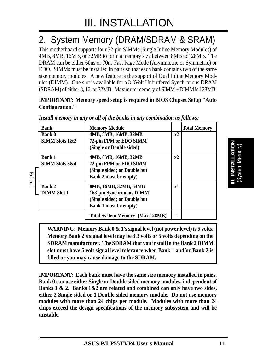# 2. System Memory (DRAM/SDRAM & SRAM)

This motherboard supports four 72-pin SIMMs (Single Inline Memory Modules) of 4MB, 8MB, 16MB, or 32MB to form a memory size between 8MB to 128MB. The DRAM can be either 60ns or 70ns Fast Page Mode (Asymmetric or Symmetric) or EDO. SIMMs must be installed in pairs so that each bank contains two of the same size memory modules. A new feature is the support of Dual Inline Memory Modules (DIMM). One slot is available for a 3.3Volt Unbuffered Synchronous DRAM (SDRAM) of either 8, 16, or 32MB. Maximum memory of SIMM + DIMM is 128MB.

**IMPORTANT: Memory speed setup is required in BIOS Chipset Setup "Auto Configuration."**

| <b>Bank</b>                                | <b>Memory Module</b>                                                                                              |       | <b>Total Memory</b> |
|--------------------------------------------|-------------------------------------------------------------------------------------------------------------------|-------|---------------------|
| <b>Bank 0</b><br><b>SIMM Slots 1&amp;2</b> | 4MB, 8MB, 16MB, 32MB<br>72-pin FPM or EDO SIMM                                                                    | x2    |                     |
|                                            | (Single or Double sided)                                                                                          |       |                     |
| <b>Bank 1</b><br><b>SIMM Slots 3&amp;4</b> | 4MB, 8MB, 16MB, 32MB<br>72-pin FPM or EDO SIMM<br>(Single sided; or Double but<br><b>Bank 2 must be empty)</b>    | $x^2$ |                     |
| <b>Bank 2</b><br><b>DIMM Slot 1</b>        | 8MB, 16MB, 32MB, 64MB<br>168-pin Synchronous DIMM<br>(Single sided; or Double but<br><b>Bank 1 must be empty)</b> | x1    |                     |
|                                            | <b>Total System Memory (Max 128MB)</b>                                                                            |       |                     |

*Install memory in any or all of the banks in any combination as follows:*

**WARNING: Memory Bank 0 & 1's signal level (not power level) is 5 volts. Memory Bank 2's signal level may be 3.3 volts or 5 volts depending on the SDRAM manufacturer. The SDRAM that you install in the Bank 2 DIMM slot must have 5 volt signal level tolerance when Bank 1 and/or Bank 2 is filled or you may cause damage to the SDRAM.**

**IMPORTANT: Each bank must have the same size memory installed in pairs. Bank 0 can use either Single or Double sided memory modules, independent of Banks 1 & 2. Banks 1&2 are related and combined can only have two sides, either 2 Single sided or 1 Double sided memory module. Do not use memory modules with more than 24 chips per module. Modules with more than 24 chips exceed the design specifications of the memory subsystem and will be unstable.**

Related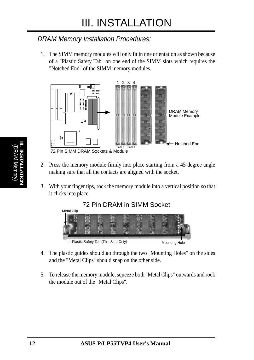### DRAM Memory Installation Procedures:

1. The SIMM memory modules will only fit in one orientation as shown because of a "Plastic Safety Tab" on one end of the SIMM slots which requires the "Notched End" of the SIMM memory modules.



- 2. Press the memory module firmly into place starting from a 45 degree angle making sure that all the contacts are aligned with the socket.
- 3. With your finger tips, rock the memory module into a vertical position so that it clicks into place.



- 4. The plastic guides should go through the two "Mounting Holes" on the sides and the "Metal Clips" should snap on the other side.
- 5. To release the memory module, squeeze both "Metal Clips" outwards and rock the module out of the "Metal Clips".

**12 ASUS P/I-P55TVP4 User's Manual**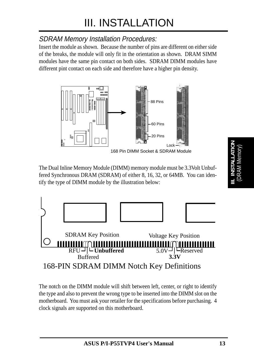### SDRAM Memory Installation Procedures:

Insert the module as shown. Because the number of pins are different on either side of the breaks, the module will only fit in the orientation as shown. DRAM SIMM modules have the same pin contact on both sides. SDRAM DIMM modules have different pint contact on each side and therefore have a higher pin density.



168 Pin DIMM Socket & SDRAM Module

The Dual Inline Memory Module (DIMM) memory module must be 3.3Volt Unbuffered Synchronous DRAM (SDRAM) of either 8, 16, 32, or 64MB. You can identify the type of DIMM module by the illustration below:



The notch on the DIMM module will shift between left, center, or right to identify the type and also to prevent the wrong type to be inserted into the DIMM slot on the motherboard. You must ask your retailer for the specifications before purchasing. 4 clock signals are supported on this motherboard.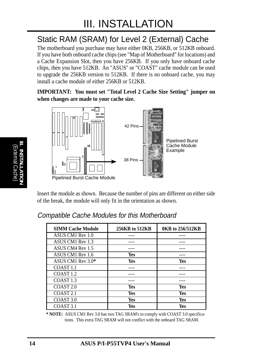## Static RAM (SRAM) for Level 2 (External) Cache

The motherboard you purchase may have either 0KB, 256KB, or 512KB onboard. If you have both onboard cache chips (see "Map of Motherboard" for locations) and a Cache Expansion Slot, then you have 256KB. If you only have onboard cache chips, then you have 512KB. An "ASUS" or "COAST" cache module can be used to upgrade the 256KB version to 512KB. If there is no onboard cache, you may install a cache module of either 256KB or 512KB.

**IMPORTANT: You must set "Total Level 2 Cache Size Setting" jumper on when changes are made to your cache size.**



Insert the module as shown. Because the number of pins are different on either side of the break, the module will only fit in the orientation as shown.

### Compatible Cache Modules for this Motherboard

| <b>SIMM Cache Module</b> | 256KB to 512KB | 0KB to 256/512KB |
|--------------------------|----------------|------------------|
| ASUS CM1 Rev 1.0         |                |                  |
| ASUS CM1 Rev 1.3         |                |                  |
| ASUS CM4 Rev 1.5         |                |                  |
| ASUS CM1 Rev 1.6         | <b>Yes</b>     |                  |
| ASUS CM1 Rev 3.0*        | Yes            | Yes              |
| COAST <sub>1.1</sub>     |                |                  |
| COAST <sub>1.2</sub>     |                |                  |
| COAST <sub>1.3</sub>     |                |                  |
| COAST <sub>2.0</sub>     | Yes            | <b>Yes</b>       |
| COAST <sub>2.1</sub>     | <b>Yes</b>     | Yes              |
| COAST <sub>3.0</sub>     | <b>Yes</b>     | Yes              |
| COAST <sub>3.1</sub>     | <b>Yes</b>     | Yes              |

**\* NOTE:** ASUS CM1 Rev 3.0 has two TAG SRAM's to comply with COAST 3.0 specifications. This extra TAG SRAM will not conflict with the onboard TAG SRAM.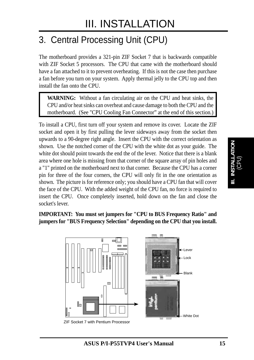# 3. Central Processing Unit (CPU)

The motherboard provides a 321-pin ZIF Socket 7 that is backwards compatible with ZIF Socket 5 processors. The CPU that came with the motherboard should have a fan attached to it to prevent overheating. If this is not the case then purchase a fan before you turn on your system. Apply thermal jelly to the CPU top and then install the fan onto the CPU.

**WARNING:** Without a fan circulating air on the CPU and heat sinks, the CPU and/or heat sinks can overheat and cause damage to both the CPU and the motherboard. (See "CPU Cooling Fan Connector" at the end of this section.)

To install a CPU, first turn off your system and remove its cover. Locate the ZIF socket and open it by first pulling the lever sideways away from the socket then upwards to a 90-degree right angle. Insert the CPU with the correct orientation as shown. Use the notched corner of the CPU with the white dot as your guide. The white dot should point towards the end the of the lever. Notice that there is a blank area where one hole is missing from that corner of the square array of pin holes and a "1" printed on the motherboard next to that corner. Because the CPU has a corner pin for three of the four corners, the CPU will only fit in the one orientation as shown. The picture is for reference only; you should have a CPU fan that will cover the face of the CPU. With the added weight of the CPU fan, no force is required to insert the CPU. Once completely inserted, hold down on the fan and close the socket's lever.

#### **IMPORTANT: You must set jumpers for "CPU to BUS Frequency Ratio" and jumpers for "BUS Frequency Selection" depending on the CPU that you install.**

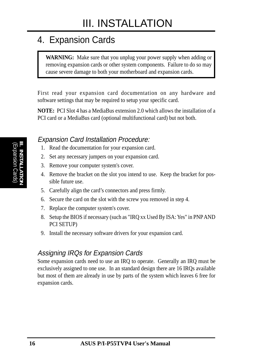# 4. Expansion Cards

**WARNING:** Make sure that you unplug your power supply when adding or removing expansion cards or other system components. Failure to do so may cause severe damage to both your motherboard and expansion cards.

First read your expansion card documentation on any hardware and software settings that may be required to setup your specific card.

**NOTE:** PCI Slot 4 has a MediaBus extension 2.0 which allows the installation of a PCI card or a MediaBus card (optional multifunctional card) but not both.

### Expansion Card Installation Procedure:

- 1. Read the documentation for your expansion card.
- 2. Set any necessary jumpers on your expansion card.
- 3. Remove your computer system's cover.
- 4. Remove the bracket on the slot you intend to use. Keep the bracket for possible future use.
- 5. Carefully align the card's connectors and press firmly.
- 6. Secure the card on the slot with the screw you removed in step 4.
- 7. Replace the computer system's cover.
- 8. Setup the BIOS if necessary (such as "IRQ xx Used By ISA: Yes" in PNP AND PCI SETUP)
- 9. Install the necessary software drivers for your expansion card.

### Assigning IRQs for Expansion Cards

Some expansion cards need to use an IRQ to operate. Generally an IRQ must be exclusively assigned to one use. In an standard design there are 16 IRQs available but most of them are already in use by parts of the system which leaves 6 free for expansion cards.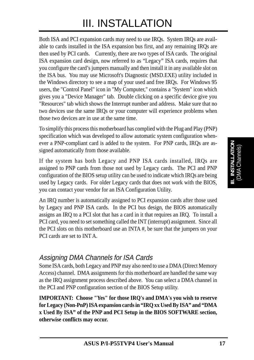# III. INSTALLATION

Both ISA and PCI expansion cards may need to use IRQs. System IRQs are available to cards installed in the ISA expansion bus first, and any remaining IRQs are then used by PCI cards. Currently, there are two types of ISA cards. The original ISA expansion card design, now referred to as "Legacy" ISA cards, requires that you configure the card's jumpers manually and then install it in any available slot on the ISA bus. You may use Microsoft's Diagnostic (MSD.EXE) utility included in the Windows directory to see a map of your used and free IRQs. For Windows 95 users, the "Control Panel" icon in "My Computer," contains a "System" icon which gives you a "Device Manager" tab. Double clicking on a specific device give you "Resources" tab which shows the Interrupt number and address. Make sure that no two devices use the same IRQs or your computer will experience problems when those two devices are in use at the same time.

To simplify this process this motherboard has complied with the Plug and Play (PNP) specification which was developed to allow automatic system configuration whenever a PNP-compliant card is added to the system. For PNP cards, IRQs are assigned automatically from those available.

If the system has both Legacy and PNP ISA cards installed, IRQs are assigned to PNP cards from those not used by Legacy cards. The PCI and PNP configuration of the BIOS setup utility can be used to indicate which IRQs are being used by Legacy cards. For older Legacy cards that does not work with the BIOS, you can contact your vendor for an ISA Configuration Utility.

An IRQ number is automatically assigned to PCI expansion cards after those used by Legacy and PNP ISA cards. In the PCI bus design, the BIOS automatically assigns an IRQ to a PCI slot that has a card in it that requires an IRQ. To install a PCI card, you need to set something called the INT (interrupt) assignment. Since all the PCI slots on this motherboard use an INTA #, be sure that the jumpers on your PCI cards are set to INT A.

### Assigning DMA Channels for ISA Cards

Some ISA cards, both Legacy and PNP may also need to use a DMA (Direct Memory Access) channel. DMA assignments for this motherboard are handled the same way as the IRQ assignment process described above. You can select a DMA channel in the PCI and PNP configuration section of the BIOS Setup utility.

**IMPORTANT: Choose "Yes" for those IRQ's and DMA's you wish to reserve for Legacy (Non-PnP) ISA expansion cards in "IRQ xx Used By ISA" and "DMA x Used By ISA" of the PNP and PCI Setup in the BIOS SOFTWARE section, otherwise conflicts may occur.**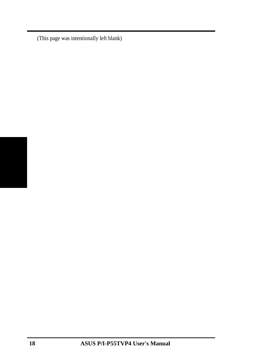(This page was intentionally left blank)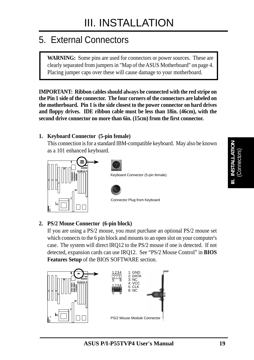# 5. External Connectors

**WARNING:** Some pins are used for connectors or power sources. These are clearly separated from jumpers in "Map of the ASUS Motherboard" on page 4. Placing jumper caps over these will cause damage to your motherboard.

**IMPORTANT: Ribbon cables should always be connected with the red stripe on the Pin 1 side of the connector. The four corners of the connectors are labeled on the motherboard. Pin 1 is the side closest to the power connector on hard drives and floppy drives. IDE ribbon cable must be less than 18in. (46cm), with the second drive connector no more than 6in. (15cm) from the first connector.**

#### **1. Keyboard Connector (5-pin female)**

This connection is for a standard IBM-compatible keyboard. May also be known as a 101 enhanced keyboard.





Keyboard Connector (5-pin female)



Connector Plug from Keyboard

#### **2. PS/2 Mouse Connector (6-pin block)**

If you are using a PS/2 mouse, you must purchase an optional PS/2 mouse set which connects to the 6 pin block and mounts to an open slot on your computer's case. The system will direct IRQ12 to the PS/2 mouse if one is detected. If not detected, expansion cards can use IRQ12. See "PS/2 Mouse Control" in **BIOS Features Setup** of the BIOS SOFTWARE section.

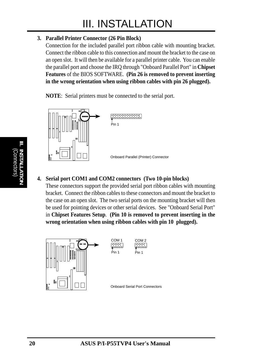#### **3. Parallel Printer Connector (26 Pin Block)**

Connection for the included parallel port ribbon cable with mounting bracket. Connect the ribbon cable to this connection and mount the bracket to the case on an open slot. It will then be available for a parallel printer cable. You can enable the parallel port and choose the IRQ through "Onboard Parallel Port" in **Chipset Features** of the BIOS SOFTWARE. **(Pin 26 is removed to prevent inserting in the wrong orientation when using ribbon cables with pin 26 plugged).**

**NOTE**: Serial printers must be connected to the serial port.



#### **4. Serial port COM1 and COM2 connectors (Two 10-pin blocks)**

These connectors support the provided serial port ribbon cables with mounting bracket. Connect the ribbon cables to these connectors and mount the bracket to the case on an open slot. The two serial ports on the mounting bracket will then be used for pointing devices or other serial devices. See "Onboard Serial Port" in **Chipset Features Setup**. **(Pin 10 is removed to prevent inserting in the wrong orientation when using ribbon cables with pin 10 plugged).**



(Connectors) **III. INSTALLATION**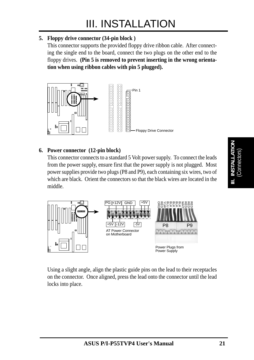#### **5. Floppy drive connector (34-pin block )**

This connector supports the provided floppy drive ribbon cable. After connecting the single end to the board, connect the two plugs on the other end to the floppy drives. **(Pin 5 is removed to prevent inserting in the wrong orientation when using ribbon cables with pin 5 plugged).**



#### **6. Power connector (12-pin block)**

This connector connects to a standard 5 Volt power supply. To connect the leads from the power supply, ensure first that the power supply is not plugged. Most power supplies provide two plugs (P8 and P9), each containing six wires, two of which are black. Orient the connectors so that the black wires are located in the middle.



Using a slight angle, align the plastic guide pins on the lead to their receptacles on the connector. Once aligned, press the lead onto the connector until the lead locks into place.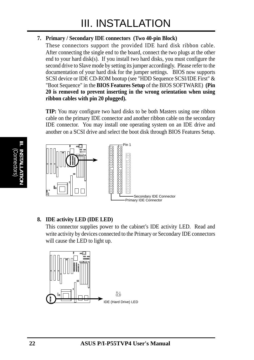#### **7. Primary / Secondary IDE connectors (Two 40-pin Block)**

These connectors support the provided IDE hard disk ribbon cable. After connecting the single end to the board, connect the two plugs at the other end to your hard disk(s). If you install two hard disks, you must configure the second drive to Slave mode by setting its jumper accordingly. Please refer to the documentation of your hard disk for the jumper settings. BIOS now supports SCSI device or IDE CD-ROM bootup (see "HDD Sequence SCSI/IDE First" & "Boot Sequence" in the **BIOS Features Setup** of the BIOS SOFTWARE) **(Pin 20 is removed to prevent inserting in the wrong orientation when using ribbon cables with pin 20 plugged).**

**TIP:** You may configure two hard disks to be both Masters using one ribbon cable on the primary IDE connector and another ribbon cable on the secondary IDE connector. You may install one operating system on an IDE drive and another on a SCSI drive and select the boot disk through BIOS Features Setup.





#### **8. IDE activity LED (IDE LED)**

This connector supplies power to the cabinet's IDE activity LED. Read and write activity by devices connected to the Primary or Secondary IDE connectors will cause the LED to light up.

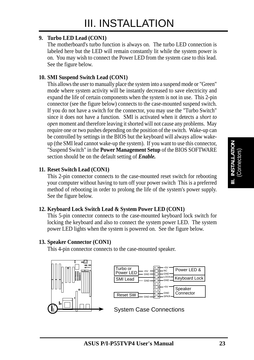#### **9. Turbo LED Lead (CON1)**

The motherboard's turbo function is always on. The turbo LED connection is labeled here but the LED will remain constantly lit while the system power is on. You may wish to connect the Power LED from the system case to this lead. See the figure below.

#### **10. SMI Suspend Switch Lead (CON1)**

This allows the user to manually place the system into a suspend mode or "Green" mode where system activity will be instantly decreased to save electricity and expand the life of certain components when the system is not in use. This 2-pin connector (see the figure below) connects to the case-mounted suspend switch. If you do not have a switch for the connector, you may use the "Turbo Switch" since it does not have a function. SMI is activated when it detects a *short to open* moment and therefore leaving it shorted will not cause any problems. May require one or two pushes depending on the position of the switch. Wake-up can be controlled by settings in the BIOS but the keyboard will always allow wakeup (the SMI lead cannot wake-up the system). If you want to use this connector, "Suspend Switch" in the **Power Management Setup** of the BIOS SOFTWARE section should be on the default setting of *Enable.*

#### **11. Reset Switch Lead (CON1)**

This 2-pin connector connects to the case-mounted reset switch for rebooting your computer without having to turn off your power switch This is a preferred method of rebooting in order to prolong the life of the system's power supply. See the figure below.

#### **12. Keyboard Lock Switch Lead & System Power LED (CON1)**

This 5-pin connector connects to the case-mounted keyboard lock switch for locking the keyboard and also to connect the system power LED. The system power LED lights when the system is powered on. See the figure below.

#### **13. Speaker Connector (CON1)**

This 4-pin connector connects to the case-mounted speaker.





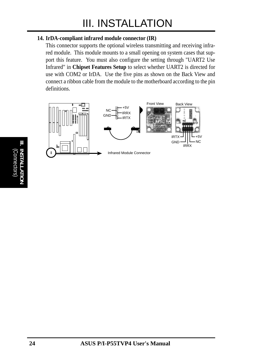#### **14. IrDA-compliant infrared module connector (IR)**

This connector supports the optional wireless transmitting and receiving infrared module. This module mounts to a small opening on system cases that support this feature. You must also configure the setting through "UART2 Use Infrared" in **Chipset Features Setup** to select whether UART2 is directed for use with COM2 or IrDA. Use the five pins as shown on the Back View and connect a ribbon cable from the module to the motherboard according to the pin definitions.

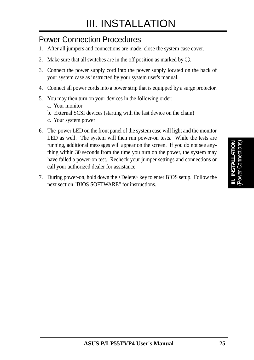### Power Connection Procedures

- 1. After all jumpers and connections are made, close the system case cover.
- 2. Make sure that all switches are in the off position as marked by  $\bigcirc$ .
- 3. Connect the power supply cord into the power supply located on the back of your system case as instructed by your system user's manual.
- 4. Connect all power cords into a power strip that is equipped by a surge protector.
- 5. You may then turn on your devices in the following order:
	- a. Your monitor
	- b. External SCSI devices (starting with the last device on the chain)
	- c. Your system power
- 6. The power LED on the front panel of the system case will light and the monitor LED as well. The system will then run power-on tests. While the tests are running, additional messages will appear on the screen. If you do not see anything within 30 seconds from the time you turn on the power, the system may have failed a power-on test. Recheck your jumper settings and connections or call your authorized dealer for assistance.
- 7. During power-on, hold down the <Delete> key to enter BIOS setup. Follow the next section "BIOS SOFTWARE" for instructions.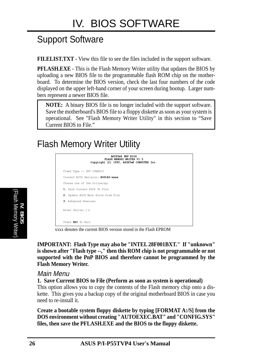# IV. BIOS SOFTWARE

# Support Software

**FILELIST.TXT -** View this file to see the files included in the support software.

**PFLASH.EXE -** This is the Flash Memory Writer utility that updates the BIOS by uploading a new BIOS file to the programmable flash ROM chip on the motherboard. To determine the BIOS version, check the last four numbers of the code displayed on the upper left-hand corner of your screen during bootup. Larger numbers represent a newer BIOS file.

**NOTE:** A binary BIOS file is no longer included with the support software. Save the motherboard's BIOS file to a floppy diskette as soon as your system is operational. See "Flash Memory Writer Utility" in this section to "Save Current BIOS to File."

# Flash Memory Writer Utility

| <b>ASUSTeK PNP BIOS</b><br>FLASH MEMORY WRITER V1.5<br>Copyright (C) 1995, ASUSTeK COMPUTER Inc. |
|--------------------------------------------------------------------------------------------------|
| Flash Type -- SST 29EE010                                                                        |
| Current BIOS Revision: #401A0-xxxx                                                               |
| Choose one of the following:                                                                     |
| 1. Save Current BIOS To File                                                                     |
| 2. Update BIOS Main Block From File                                                              |
| 3. Advanced Features                                                                             |
| Enter Choice: [1]                                                                                |
| Press ESC To Exit                                                                                |

xxxx denotes the current BIOS version stored in the Flash EPROM

**IMPORTANT: Flash Type may also be "INTEL 28F001BXT." If "unknown" is shown after "Flash type --," then this ROM chip is not programmable or not supported with the PnP BIOS and therefore cannot be programmed by the Flash Memory Writer.**

#### Main Menu

**1. Save Current BIOS to File (Perform as soon as system is operational)** This option allows you to copy the contents of the Flash memory chip onto a diskette. This gives you a backup copy of the original motherboard BIOS in case you need to re-install it.

**Create a bootable system floppy diskette by typing [FORMAT A:/S] from the DOS environment without creating "AUTOEXEC.BAT" and "CONFIG.SYS" files, then save the PFLASH.EXE and the BIOS to the floppy diskette.**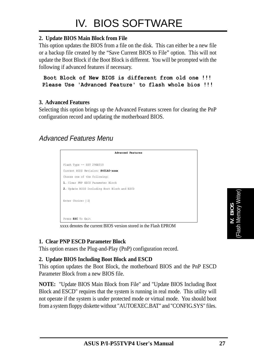#### **2. Update BIOS Main Block from File**

This option updates the BIOS from a file on the disk. This can either be a new file or a backup file created by the "Save Current BIOS to File" option. This will not update the Boot Block if the Boot Block is different. You will be prompted with the following if advanced features if necessary.

```
Boot Block of New BIOS is different from old one !!!
Please Use 'Advanced Feature' to flash whole bios !!!
```
#### **3. Advanced Features**

Selecting this option brings up the Advanced Features screen for clearing the PnP configuration record and updating the motherboard BIOS.

### Advanced Features Menu

| <b>Advanced Features</b>                     |
|----------------------------------------------|
|                                              |
| Flash Type -- SST 29EE010                    |
| Current BIOS Revision: #401A0-xxxx           |
| Choose one of the following:                 |
| 1. Clear PNP ESCD Parameter Block            |
| 2. Update BIOS Including Boot Block and ESCD |
|                                              |
| Enter Choice: [2]                            |
|                                              |
|                                              |
| Press ESC To Exit                            |

xxxx denotes the current BIOS version stored in the Flash EPROM

#### **1. Clear PNP ESCD Parameter Block**

This option erases the Plug-and-Play (PnP) configuration record.

#### **2. Update BIOS Including Boot Block and ESCD**

This option updates the Boot Block, the motherboard BIOS and the PnP ESCD Parameter Block from a new BIOS file.

**NOTE:** "Update BIOS Main Block from File" and "Update BIOS Including Boot Block and ESCD" requires that the system is running in real mode. This utility will not operate if the system is under protected mode or virtual mode. You should boot from a system floppy diskette without "AUTOEXEC.BAT" and "CONFIG.SYS" files.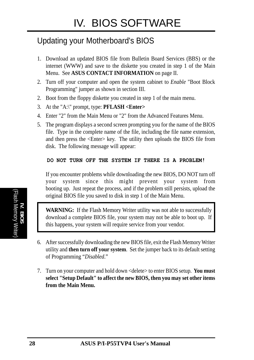## Updating your Motherboard's BIOS

- 1. Download an updated BIOS file from Bulletin Board Services (BBS) or the internet (WWW) and save to the diskette you created in step 1 of the Main Menu. See **ASUS CONTACT INFORMATION** on page II.
- 2. Turn off your computer and open the system cabinet to *Enable* "Boot Block Programming" jumper as shown in section III.
- 2. Boot from the floppy diskette you created in step 1 of the main menu.
- 3. At the "A:\" prompt, type: **PFLASH <Enter>**
- 4. Enter "2" from the Main Menu or "2" from the Advanced Features Menu.
- 5. The program displays a second screen prompting you for the name of the BIOS file. Type in the complete name of the file, including the file name extension, and then press the <Enter> key. The utility then uploads the BIOS file from disk. The following message will appear:

#### **DO NOT TURN OFF THE SYSTEM IF THERE IS A PROBLEM!**

If you encounter problems while downloading the new BIOS, DO NOT turn off your system since this might prevent your system from booting up. Just repeat the process, and if the problem still persists, upload the original BIOS file you saved to disk in step 1 of the Main Menu.

**WARNING:** If the Flash Memory Writer utility was not able to successfully download a complete BIOS file, your system may not be able to boot up. If this happens, your system will require service from your vendor.

- 6. After successfully downloading the new BIOS file, exit the Flash Memory Writer utility and **then turn off your system**. Set the jumper back to its default setting of Programming "*Disabled*."
- 7. Turn on your computer and hold down <delete> to enter BIOS setup. **You must select "Setup Default" to affect the new BIOS, then you may set other items from the Main Menu.**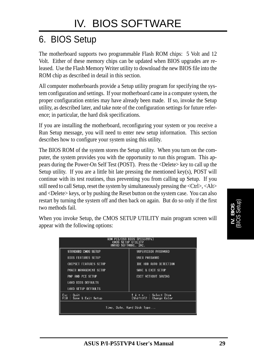# 6. BIOS Setup

The motherboard supports two programmable Flash ROM chips: 5 Volt and 12 Volt. Either of these memory chips can be updated when BIOS upgrades are released. Use the Flash Memory Writer utility to download the new BIOS file into the ROM chip as described in detail in this section.

All computer motherboards provide a Setup utility program for specifying the system configuration and settings. If your motherboard came in a computer system, the proper configuration entries may have already been made. If so, invoke the Setup utility, as described later, and take note of the configuration settings for future reference; in particular, the hard disk specifications.

If you are installing the motherboard, reconfiguring your system or you receive a Run Setup message, you will need to enter new setup information. This section describes how to configure your system using this utility.

The BIOS ROM of the system stores the Setup utility. When you turn on the computer, the system provides you with the opportunity to run this program. This appears during the Power-On Self Test (POST). Press the <Delete> key to call up the Setup utility. If you are a little bit late pressing the mentioned key(s), POST will continue with its test routines, thus preventing you from calling up Setup. If you still need to call Setup, reset the system by simultaneously pressing the  $\langle \text{Ctrl} \rangle$ ,  $\langle \text{Alt} \rangle$ and <Delete> keys, or by pushing the Reset button on the system case. You can also restart by turning the system off and then back on again. But do so only if the first two methods fail.

| ROM PCI/ISA BIOS (PI55TVP4)<br>CMOS SETUP UTILITY |                                               |  |
|---------------------------------------------------|-----------------------------------------------|--|
| AWARD SOFTWARE, INC.                              |                                               |  |
| STANDARD CMOS SETUP                               | SUPERVISOR PASSWORD                           |  |
| <b>BIOS FEATURES SETUP</b>                        | USER PASSWORD                                 |  |
| CHIPSET FEATURES SETUP                            | IDE HDD AUTO DETECTION                        |  |
| POWER MANAGEMENT SETUP                            | SAVE & EXTT SETUP                             |  |
| PNP AND PCI SETUP                                 | EXIT WITHOUT SAVING                           |  |
| LOAD BIOS DEFAULTS                                |                                               |  |
| LOAD SETUP DEFAULTS                               |                                               |  |
| Esc : Quit<br>F10 : Save & Exit Setup             | → ← : Select Item<br>(Shift)F2 : Change Color |  |
| Time. Date. Hard Disk Tvpe                        |                                               |  |

When you invoke Setup, the CMOS SETUP UTILITY main program screen will appear with the following options:

**IV. BIOS** (BIOS Setup)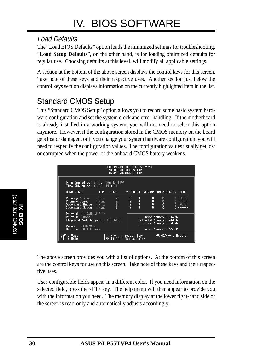### Load Defaults

The "Load BIOS Defaults" option loads the minimized settings for troubleshooting. "**Load Setup Defaults**", on the other hand, is for loading optimized defaults for regular use. Choosing defaults at this level, will modify all applicable settings.

A section at the bottom of the above screen displays the control keys for this screen. Take note of these keys and their respective uses. Another section just below the control keys section displays information on the currently highlighted item in the list.

# Standard CMOS Setup

This "Standard CMOS Setup" option allows you to record some basic system hardware configuration and set the system clock and error handling. If the motherboard is already installed in a working system, you will not need to select this option anymore. However, if the configuration stored in the CMOS memory on the board gets lost or damaged, or if you change your system hardware configuration, you will need to respecify the configuration values. The configuration values usually get lost or corrupted when the power of the onboard CMOS battery weakens.

|                                                                                                                  |             | ROM PCI/ISA BIOS (PI55TVP4)<br>STANDARD CMOS SETUP<br>AWARD SOFTWARE, INC. |   |                                                                                  |                                   |              |                                            |                  |
|------------------------------------------------------------------------------------------------------------------|-------------|----------------------------------------------------------------------------|---|----------------------------------------------------------------------------------|-----------------------------------|--------------|--------------------------------------------|------------------|
| Date $(\text{mm:dd:yy})$ : Thu, Dec 12 1996<br>Time (hh:mm:ss) : 13 : 15 : 41                                    |             |                                                                            |   |                                                                                  |                                   |              |                                            |                  |
| HARD DISKS                                                                                                       | <b>TYPE</b> | <b>SIZE</b>                                                                |   |                                                                                  | CYLS HEAD PRECOMP LANDZ SECTOR    |              |                                            | <b>MODE</b>      |
| <b>Primary Master :</b> Auto<br><b>Primary Slave : None</b><br>Secondary Master : Auto<br>Secondary Slave : None |             | 0<br>0<br>0<br>0                                                           | ø | $\begin{matrix} 0& &0\\ 0& &0\\ 0& &0 \end{matrix}$<br>$\overline{\mathfrak{g}}$ | 0<br>$\bar{\mathbf{0}}$<br>ō<br>0 | $\mathbf{0}$ | $\mathbf{0}$<br>0<br>$\tilde{0}$<br>Ø<br>Ø | - AUTO<br>- AUTO |
| <b>Drive A</b> : 1.44M, $3.5$ in.<br>Dirive B: None<br>Floppy 3 Mode Support : Disabled                          |             |                                                                            |   |                                                                                  | Extended Memory: 64512K           |              | Base Memory: 640K<br>Other Memory: 384K    |                  |
| Video : EGA/VGA<br>Halt On : All Errors                                                                          |             |                                                                            |   |                                                                                  |                                   |              | Total Memory: 65536K                       |                  |
| $ESC : 0$ uit<br>: Help<br>F1                                                                                    |             | ↑↓ → ← : Select Item<br>$(Shift)F2$ : Change Color                         |   |                                                                                  |                                   |              | $PU/PD/+/ - :$ Modify                      |                  |

The above screen provides you with a list of options. At the bottom of this screen are the control keys for use on this screen. Take note of these keys and their respective uses.

User-configurable fields appear in a different color. If you need information on the selected field, press the <F1> key. The help menu will then appear to provide you with the information you need. The memory display at the lower right-hand side of the screen is read-only and automatically adjusts accordingly.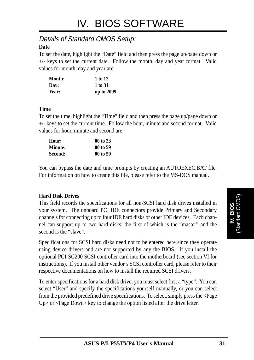### Details of Standard CMOS Setup:

#### **Date**

To set the date, highlight the "Date" field and then press the page up/page down or +/- keys to set the current date. Follow the month, day and year format. Valid values for month, day and year are:

| <b>Month:</b> | 1 to 12    |
|---------------|------------|
| Day:          | 1 to 31    |
| Year:         | up to 2099 |

#### **Time**

To set the time, highlight the "Time" field and then press the page up/page down or +/- keys to set the current time. Follow the hour, minute and second format. Valid values for hour, minute and second are:

| Hour:   | $00$ to 23 |
|---------|------------|
| Minute: | 00 to 59   |
| Second: | 00 to 59   |

You can bypass the date and time prompts by creating an AUTOEXEC.BAT file. For information on how to create this file, please refer to the MS-DOS manual.

#### **Hard Disk Drives**

This field records the specifications for all non-SCSI hard disk drives installed in your system. The onboard PCI IDE connectors provide Primary and Secondary channels for connecting up to four IDE hard disks or other IDE devices. Each channel can support up to two hard disks; the first of which is the "master" and the second is the "slave".

Specifications for SCSI hard disks need not to be entered here since they operate using device drivers and are not supported by any the BIOS. If you install the optional PCI-SC200 SCSI controller card into the motherboard (see section VI for instructions). If you install other vendor's SCSI controller card, please refer to their respective documentations on how to install the required SCSI drivers.

To enter specifications for a hard disk drive, you must select first a "type". You can select "User" and specify the specifications yourself manually, or you can select from the provided predefined drive specifications. To select, simply press the <Page Up is or <Page Down listed after the drive letter.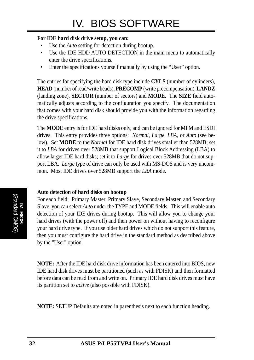#### **For IDE hard disk drive setup, you can:**

- Use the *Auto* setting for detection during bootup.
- Use the IDE HDD AUTO DETECTION in the main menu to automatically enter the drive specifications.
- Enter the specifications yourself manually by using the "User" option.

The entries for specifying the hard disk type include **CYLS** (number of cylinders), **HEAD** (number of read/write heads), **PRECOMP** (write precompensation), **LANDZ** (landing zone), **SECTOR** (number of sectors) and **MODE**. The **SIZE** field automatically adjusts according to the configuration you specify. The documentation that comes with your hard disk should provide you with the information regarding the drive specifications.

The **MODE** entry is for IDE hard disks only, and can be ignored for MFM and ESDI drives. This entry provides three options: *Normal, Large, LBA*, or *Auto* (see below). Set **MODE** to the *Normal* for IDE hard disk drives smaller than 528MB; set it to *LBA* for drives over 528MB that support Logical Block Addressing (LBA) to allow larger IDE hard disks; set it to *Large* for drives over 528MB that do not support LBA. *Large* type of drive can only be used with MS-DOS and is very uncommon. Most IDE drives over 528MB support the *LBA* mode.

#### **Auto detection of hard disks on bootup**

For each field: Primary Master, Primary Slave, Secondary Master, and Secondary Slave, you can select *Auto* under the TYPE and MODE fields. This will enable auto detection of your IDE drives during bootup. This will allow you to change your hard drives (with the power off) and then power on without having to reconfigure your hard drive type. If you use older hard drives which do not support this feature, then you must configure the hard drive in the standard method as described above by the "User" option.

**NOTE:** After the IDE hard disk drive information has been entered into BIOS, new IDE hard disk drives must be partitioned (such as with FDISK) and then formatted before data can be read from and write on. Primary IDE hard disk drives must have its partition set to *active* (also possible with FDISK).

**NOTE:** SETUP Defaults are noted in parenthesis next to each function heading.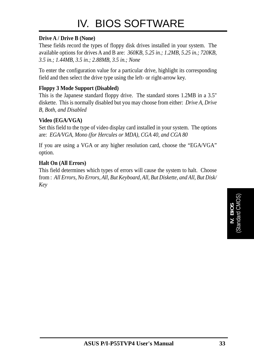# IV. BIOS SOFTWARE

#### **Drive A / Drive B (None)**

These fields record the types of floppy disk drives installed in your system. The available options for drives A and B are: *360KB, 5.25 in.; 1.2MB, 5.25 in.; 720KB, 3.5 in.; 1.44MB, 3.5 in.; 2.88MB, 3.5 in.; None*

To enter the configuration value for a particular drive, highlight its corresponding field and then select the drive type using the left- or right-arrow key.

#### **Floppy 3 Mode Support (Disabled)**

This is the Japanese standard floppy drive. The standard stores 1.2MB in a 3.5" diskette. This is normally disabled but you may choose from either: *Drive A, Drive B, Both, and Disabled*

#### **Video (EGA/VGA)**

Set this field to the type of video display card installed in your system. The options are: *EGA/VGA, Mono (for Hercules or MDA), CGA 40, and CGA 80*

If you are using a VGA or any higher resolution card, choose the "EGA/VGA" option.

#### **Halt On (All Errors)**

This field determines which types of errors will cause the system to halt. Choose from : *All Errors, No Errors, All, But Keyboard, All, But Diskette, and All, But Disk/ Key*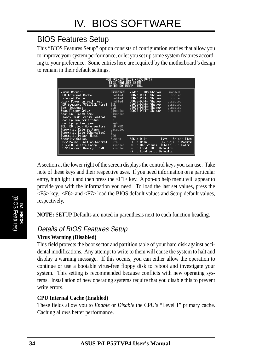### BIOS Features Setup

This "BIOS Features Setup" option consists of configuration entries that allow you to improve your system performance, or let you set up some system features according to your preference. Some entries here are required by the motherboard's design to remain in their default settings.

| ROM PCI/ISA BIOS (PI55TVP4)<br><b>BIOS FEATURES SETUP</b><br>AWARD SOFTWARE. INC.                                                                                                                                                                                                                                                                                                                                                                                                                                                                                                                                                |                                                                                                                                                                                                                                                     |  |
|----------------------------------------------------------------------------------------------------------------------------------------------------------------------------------------------------------------------------------------------------------------------------------------------------------------------------------------------------------------------------------------------------------------------------------------------------------------------------------------------------------------------------------------------------------------------------------------------------------------------------------|-----------------------------------------------------------------------------------------------------------------------------------------------------------------------------------------------------------------------------------------------------|--|
| Virus Warning The Second School School School School School School School School School School School School S<br>CPU Internal Cache : Enabled<br>External Cache in the chabled<br>Quick Power On Self Test : Enabled<br>HDD Sequence SCSI/IDE First: IDE<br>$\therefore$ C, A $\Box$<br>Boot Sequence<br>Swap Floppy Drive<br>(1990) - Swap Floppy Drive<br><b>Boot Up Floppy Seek</b> : Disabled<br>Floppy Disk Access Control: R/W<br><b>Boot Up NumLock Status :</b> On<br><b>Boot Up System Speed : High</b><br>IDE HDD Block Mode Sectors : HDD MAX<br>Typematic Rate Setting : Disabled<br>Tupematic Rate (Chars/Sec) : 6 | Video BIOS Shadow<br>: Enabled<br>C8000-CBFFF Shadow<br>: Disabled<br>CC000-CFFFF Shadow<br>: Disabled<br>D0000-D3FFF Shadow<br>: Disabled<br>D4000-D7FFF Shadow<br>: Disabled<br>D8000-DBFFF Shadow : Disabled<br>DC000-DFFFF Shadow<br>: Disabled |  |
| Typematic Delay (Msec) : 250<br>Security Option : System<br><b>PS/2 Mouse Function Control:</b> Auto<br><b>PCI/VGA Palette Snoop :</b> Disabled<br>$0S/2$ Onboard Memory > 64M : Disabled                                                                                                                                                                                                                                                                                                                                                                                                                                        | ESC : Quit 11++ : Select Item<br>F1<br>: Help $PU/PD/+/-$ : Modify<br>F5<br>: Old Values (Shift)F2 : Color<br>F6<br>: Load BIOS Defaults<br>F7.<br>: Load Setup Defaults                                                                            |  |

A section at the lower right of the screen displays the control keys you can use. Take note of these keys and their respective uses. If you need information on a particular entry, highlight it and then press the  $\langle F1 \rangle$  key. A pop-up help menu will appear to provide you with the information you need. To load the last set values, press the <F5> key. <F6> and <F7> load the BIOS default values and Setup default values, respectively.

**NOTE:** SETUP Defaults are noted in parenthesis next to each function heading.

### Details of BIOS Features Setup

#### **Virus Warning (Disabled)**

This field protects the boot sector and partition table of your hard disk against accidental modifications. Any attempt to write to them will cause the system to halt and display a warning message. If this occurs, you can either allow the operation to continue or use a bootable virus-free floppy disk to reboot and investigate your system. This setting is recommended because conflicts with new operating systems. Installation of new operating systems require that you disable this to prevent write errors.

#### **CPU Internal Cache (Enabled)**

These fields allow you to *Enable* or *Disable* the CPU's "Level 1" primary cache. Caching allows better performance.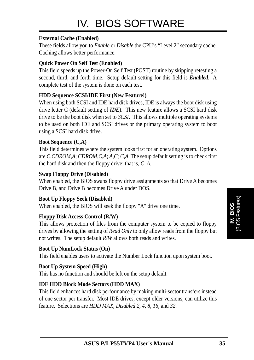#### **External Cache (Enabled)**

These fields allow you to *Enable* or *Disable* the CPU's "Level 2" secondary cache. Caching allows better performance.

#### **Quick Power On Self Test (Enabled)**

This field speeds up the Power-On Self Test (POST) routine by skipping retesting a second, third, and forth time. Setup default setting for this field is *Enabled*. A complete test of the system is done on each test.

#### **HDD Sequence SCSI/IDE First (New Feature!)**

When using both SCSI and IDE hard disk drives, IDE is always the boot disk using drive letter C (default setting of *IDE*). This new feature allows a SCSI hard disk drive to be the boot disk when set to *SCSI*. This allows multiple operating systems to be used on both IDE and SCSI drives or the primary operating system to boot using a SCSI hard disk drive.

#### **Boot Sequence (C,A)**

This field determines where the system looks first for an operating system. Options are *C,CDROM,A*; *CDROM,C,A*; *A,C*; *C,A* The setup default setting is to check first the hard disk and then the floppy drive; that is, *C, A*.

#### **Swap Floppy Drive (Disabled)**

When enabled, the BIOS swaps floppy drive assignments so that Drive A becomes Drive B, and Drive B becomes Drive A under DOS.

#### **Boot Up Floppy Seek (Disabled)**

When enabled, the BIOS will seek the floppy "A" drive one time.

#### **Floppy Disk Access Control (R/W)**

This allows protection of files from the computer system to be copied to floppy drives by allowing the setting of *Read Only* to only allow reads from the floppy but not writes. The setup default *R/W* allows both reads and writes.

#### **Boot Up NumLock Status (On)**

This field enables users to activate the Number Lock function upon system boot.

#### **Boot Up System Speed (High)**

This has no function and should be left on the setup default.

#### **IDE HDD Block Mode Sectors (HDD MAX)**

This field enhances hard disk performance by making multi-sector transfers instead of one sector per transfer. Most IDE drives, except older versions, can utilize this feature. Selections are *HDD MAX, Disabled 2, 4, 8, 16,* and *32*.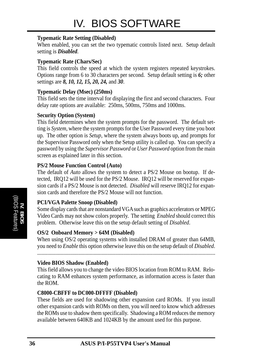#### **Typematic Rate Setting (Disabled)**

When enabled, you can set the two typematic controls listed next. Setup default setting is *Disabled*.

#### **Typematic Rate (Chars/Sec)**

This field controls the speed at which the system registers repeated keystrokes. Options range from 6 to 30 characters per second. Setup default setting is *6;* other settings are *8, 10, 12, 15, 20, 24,* and *30*.

#### **Typematic Delay (Msec) (250ms)**

This field sets the time interval for displaying the first and second characters. Four delay rate options are available: 250ms, 500ms, 750ms and 1000ms.

#### **Security Option (System)**

This field determines when the system prompts for the password. The default setting is *System*, where the system prompts for the User Password every time you boot up. The other option is *Setup*, where the system always boots up, and prompts for the Supervisor Password only when the Setup utility is called up. You can specify a password by using the *Supervisor Password* or *User Password* option from the main screen as explained later in this section.

#### **PS/2 Mouse Function Control (Auto)**

The default of *Auto* allows the system to detect a PS/2 Mouse on bootup. If detected, IRQ12 will be used for the PS/2 Mouse. IRQ12 will be reserved for expansion cards if a PS/2 Mouse is not detected. *Disabled* will reserve IRQ12 for expansion cards and therefore the PS/2 Mouse will not function.

#### **PCI/VGA Palette Snoop (Disabled)**

Some display cards that are nonstandard VGA such as graphics accelerators or MPEG Video Cards may not show colors properly. The setting *Enabled* should correct this problem. Otherwise leave this on the setup default setting of *Disabled*.

#### **OS/2 Onboard Memory > 64M (Disabled)**

When using OS/2 operating systems with installed DRAM of greater than 64MB, you need to *Enable* this option otherwise leave this on the setup default of *Disabled*. ......................................................................................................................................

#### **Video BIOS Shadow (Enabled)**

This field allows you to change the video BIOS location from ROM to RAM. Relocating to RAM enhances system performance, as information access is faster than the ROM.

#### **C8000-CBFFF to DC000-DFFFF (Disabled)**

These fields are used for shadowing other expansion card ROMs. If you install other expansion cards with ROMs on them, you will need to know which addresses the ROMs use to shadow them specifically. Shadowing a ROM reduces the memory available between 640KB and 1024KB by the amount used for this purpose.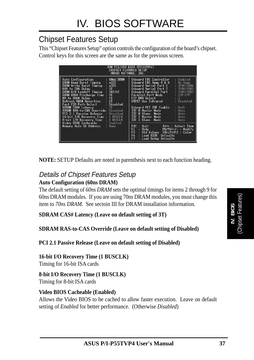## Chipset Features Setup

This "Chipset Features Setup" option controls the configuration of the board's chipset. Control keys for this screen are the same as for the previous screen.

| ROM PCI/ISA BIOS (PI55TVP4)<br>CHIPSET FEATURES SETUP<br>AWARD SOFTWARE, INC.                                                                                                                                                                                                                                                                                                                                                                                                                                                                                                                                                                                                                                                                                                                 |                                                                                                                                                                                                                                                                                                                                                                                                                                                                                                   |  |  |
|-----------------------------------------------------------------------------------------------------------------------------------------------------------------------------------------------------------------------------------------------------------------------------------------------------------------------------------------------------------------------------------------------------------------------------------------------------------------------------------------------------------------------------------------------------------------------------------------------------------------------------------------------------------------------------------------------------------------------------------------------------------------------------------------------|---------------------------------------------------------------------------------------------------------------------------------------------------------------------------------------------------------------------------------------------------------------------------------------------------------------------------------------------------------------------------------------------------------------------------------------------------------------------------------------------------|--|--|
| Auto Configuration : 60ns DRAM<br>DRAM Read Burst Timing : $\times$ 222<br>DRAM Write Burst Timing : x333<br>$\frac{1}{2}$ $\frac{1}{2}$ $\frac{1}{2}$ $\frac{1}{2}$ $\frac{1}{2}$ $\frac{1}{2}$ $\frac{1}{2}$ $\frac{1}{2}$ $\frac{1}{2}$ $\frac{1}{2}$ $\frac{1}{2}$ $\frac{1}{2}$ $\frac{1}{2}$ $\frac{1}{2}$ $\frac{1}{2}$ $\frac{1}{2}$ $\frac{1}{2}$ $\frac{1}{2}$ $\frac{1}{2}$ $\frac{1}{2}$ $\frac{1}{2}$ $\frac{1}{2}$<br>RAS to CAS Delay<br>DRAM R/W Leadoff Timing : 10T/6T<br>$MA to RASH Delay$ : 1T<br>$R$ efresh RAS# Assertion $\frac{1}{4}$<br>Fast EDO Path Select : Disabled<br><b>SDRAM CAS# Latency</b> : 3T<br>SDRAM RAS-to-CAS Override: Disabled<br>PCI 2.1 Passive Release : Disabled<br>16-bit I/O Recovery Time : 1 BUSCLK<br>8-bit I/O Recovery Time : 1 BUSCLK | Onboard FDC Controller<br>: Enabled<br>Onboard FDC Swap A & B<br>: No Swap<br>Onboard Serial Port 1 : 3F8H/IR04<br>Onboard Serial Port 2 : 2F8H/IRQ3<br>Onboard Parallel Port<br>Parallel Port Mode<br>Parallel Port Mode : ECP+EPP<br>ECP DMA Select : 3<br>UART2 Use Infrared : Disabled<br>Onboard PCI IDE Enable<br>: Both<br><b>IDE 0 Master Mode comparent comparent in the 19</b><br><b>IDE 0 Slave Mode           :</b> Auto<br>IDE 1 Master Mode<br>: Auto<br>IDE 1 Slave Mode<br>: Auto |  |  |
| Video BIOS Cacheable : Enabled<br>Memory Hole At Address : None                                                                                                                                                                                                                                                                                                                                                                                                                                                                                                                                                                                                                                                                                                                               | <b>ESC</b><br>: Quit<br>–↑↓→← : Select Item<br>F <sub>1</sub><br>: Help $\qquad \qquad$<br>PU/PD/+/- : Modify<br>F5 : Old Values (Shift)F2 : Color<br>F6 : Load BIOS Defaults<br>F7<br>: Load Setup Defaults                                                                                                                                                                                                                                                                                      |  |  |

**NOTE:** SETUP Defaults are noted in parenthesis next to each function heading.

#### Details of Chipset Features Setup **Auto Configuration (60ns DRAM)**

The default setting of *60ns DRAM* sets the optimal timings for items 2 through 9 for 60ns DRAM modules. If you are using 70ns DRAM modules, you must change this item to *70ns DRAM*. See sectoin III for DRAM installation information.

**SDRAM CAS# Latency (Leave on default setting of 3T)**

**SDRAM RAS-to-CAS Override (Leave on default setting of Disabled)**

**PCI 2.1 Passive Release (Leave on default setting of Disabled)**

**16-bit I/O Recovery Time (1 BUSCLK)** Timing for 16-bit ISA cards

**8-bit I/O Recovery Time (1 BUSCLK)** Timing for 8-bit ISA cards

#### **Video BIOS Cacheable (Enabled)**

Allows the Video BIOS to be cached to allow faster execution. Leave on default setting of *Enabled* for better performance. (Otherwise *Disabled*)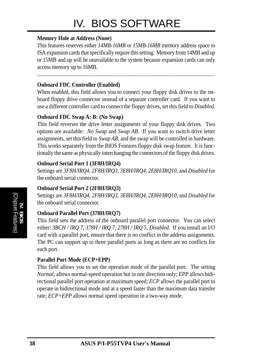# IV. BIOS SOFTWARE

#### **Memory Hole at Address (None)**

This features reserves either *14MB-16MB* or *15MB-16MB* memory address space to ISA expansion cards that specifically require this setting. Memory from 14MB and up or 15MB and up will be unavailable to the system because expansion cards can only access memory up to 16MB.

....................................................................................................................................

#### **Onboard FDC Controller (Enabled)**

When enabled, this field allows you to connect your floppy disk drives to the onboard floppy drive connector instead of a separate controller card. If you want to use a different controller card to connect the floppy drives, set this field to *Disabled*.

#### **Onboard FDC Swap A: B: (No Swap)**

This field reverses the drive letter assignments of your floppy disk drives. Two options are available: *No Swap* and *Swap AB*. If you want to switch drive letter assignments, set this field to *Swap AB*, and the swap will be controlled in hardware. This works separately from the BIOS Features floppy disk swap feature. It is functionally the same as physically interchanging the connectors of the floppy disk drives.

#### **Onboard Serial Port 1 (3F8H/IRQ4)**

Settings are *3F8H/IRQ4*, *2F8H/IRQ3, 3E8H/IRQ4, 2E8H/IRQ10,* and *Disabled* for the onboard serial connector.

#### **Onboard Serial Port 2 (2F8H/IRQ3)**

Settings are *3F8H/IRQ4, 2F8H/IRQ3*, *3E8H/IRQ4, 2E8H/IRQ10,* and *Disabled* for the onboard serial connector.

#### **Onboard Parallel Port (378H/IRQ7)**

This field sets the address of the onboard parallel port connector. You can select either: *3BCH / IRQ 7, 378H / IRQ 7, 278H / IRQ 5, Disabled.* If you install an I/O card with a parallel port, ensure that there is no conflict in the address assignments. The PC can support up to three parallel ports as long as there are no conflicts for each port.

#### **Parallel Port Mode (ECP+EPP)**

This field allows you to set the operation mode of the parallel port. The setting *Normal*, allows normal-speed operation but in one direction only; *EPP* allows bidirectional parallel port operation at maximum speed; *ECP* allows the parallel port to operate in bidirectional mode and at a speed faster than the maximum data transfer rate; *ECP+EPP* allows normal speed operation in a two-way mode.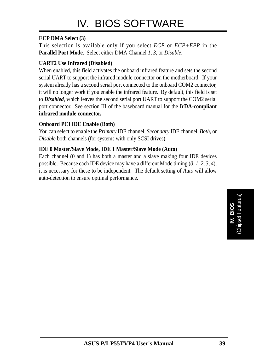#### **ECP DMA Select (3)**

This selection is available only if you select *ECP* or *ECP+EPP* in the **Parallel Port Mode**. Select either DMA Channel *1, 3*, or *Disable*.

#### **UART2 Use Infrared (Disabled)**

When enabled, this field activates the onboard infrared feature and sets the second serial UART to support the infrared module connector on the motherboard. If your system already has a second serial port connected to the onboard COM2 connector, it will no longer work if you enable the infrared feature. By default, this field is set to *Disabled*, which leaves the second serial port UART to support the COM2 serial port connector. See section III of the baseboard manual for the **IrDA-compliant infrared module connector.**

#### **Onboard PCI IDE Enable (Both)**

You can select to enable the *Primary* IDE channel, *Secondary* IDE channel, *Both*, or *Disable* both channels (for systems with only SCSI drives).

#### **IDE 0 Master/Slave Mode, IDE 1 Master/Slave Mode (Auto)**

Each channel (0 and 1) has both a master and a slave making four IDE devices possible. Because each IDE device may have a different Mode timing (*0, 1, 2, 3, 4*), it is necessary for these to be independent. The default setting of *Auto* will allow auto-detection to ensure optimal performance.

> **IV. BIOS** (Chipset Features)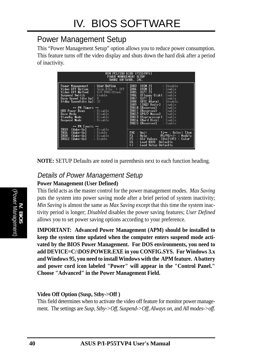## Power Management Setup

This "Power Management Setup" option allows you to reduce power consumption. This feature turns off the video display and shuts down the hard disk after a period of inactivity.

| ROM PCI/ISA BIOS (PI55TVP4)<br>POWER MANAGEMENT SETUP<br>AWARD SOFTWARE. INC.                                                                                                                                                                                              |                                                                                                                                                                                                                                                                                           |  |
|----------------------------------------------------------------------------------------------------------------------------------------------------------------------------------------------------------------------------------------------------------------------------|-------------------------------------------------------------------------------------------------------------------------------------------------------------------------------------------------------------------------------------------------------------------------------------------|--|
| : User Define<br><u>Power</u> Management<br>Video Off Option : $Susp$ Stby $\rightarrow$ Off<br>Video Off Method : V/H SYNC+Blank<br>Suspend Switch : Enable<br>$\mathsf{D}\mathsf{o}\mathsf{z}\mathsf{e}$ Speed (div by): 8<br>Stdby Speed(div by): 32<br>** PM Timers ** | IR <sub>03</sub><br>(COM 2) ___<br>: Disable<br>IR04<br>$(CON_1)$<br>: Enable<br>(LPT <sub>2</sub> )<br>IR05<br>: Enable<br>IR06<br>(Floppy Disk): Enable<br>IR07<br>$(LPT 1)$ : Enable<br>(RTC Alarm) : Disable<br>IR08<br>(IRO2 Redir) : Enable<br>IRO9<br>IR010<br>(Reserved) : Enable |  |
| : Disable<br>HDD Power Down<br>Suspend Mode<br>: Disable                                                                                                                                                                                                                   | <b>IRO11 (Reserved)</b> : Enable<br>IR012 (PS/2 Mouse) : Enable<br>IR013 (Coprocessor): Enable<br>IRO14 (Hard Disk) : Enable<br>IRO15 (Reserved)<br>: Enable                                                                                                                              |  |
| ** PM Events **<br>IRO3<br>(Wake-Up) : Disable<br>IRO4<br>(Wake-Up) : Enable<br>(Wake-Up) : Disable<br><b>IR08</b><br>IRQ12 (Wake-Up) —<br>: Enable                                                                                                                        | ESC.<br>: Ouit<br>- ↑↓→← : Select Item<br>F1<br>F5<br>: Old Values (Shift)F2 : Color<br>F6<br>: Load BIOS Defaults<br>F7.<br>: Load Setup Defaults                                                                                                                                        |  |

**NOTE:** SETUP Defaults are noted in parenthesis next to each function heading.

### Details of Power Management Setup **Power Management (User Defined)**

This field acts as the master control for the power management modes. *Max Saving* puts the system into power saving mode after a brief period of system inactivity; *Min Saving* is almost the same as *Max Saving* except that this time the system inactivity period is longer; *Disabled* disables the power saving features; *User Defined* allows you to set power saving options according to your preference.

**IMPORTANT: Advanced Power Management (APM) should be installed to keep the system time updated when the computer enters suspend mode activated by the BIOS Power Management. For DOS environments, you need to add DEVICE=C:\DOS\POWER.EXE in you CONFIG.SYS. For Windows 3.x and Windows 95, you need to install Windows with the APM feature. A battery and power cord icon labeled "Power" will appear in the "Control Panel." Choose "Advanced" in the Power Management Field.**

#### **Video Off Option (Susp, Stby->Off )**

This field determines when to activate the video off feature for monitor power management. The settings are *Susp, Stby->Off, Suspend->Off, Always on,* and *All modes->off.*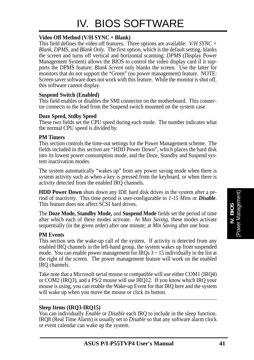#### **Video Off Method (V/H SYNC + Blank)**

This field defines the video off features. Three options are available: *V/H SYNC + Blank, DPMS,* and *Blank Only*. The first option, which is the default setting, blanks the screen and turns off vertical and horizontal scanning; *DPMS* (Display Power Management System) allows the BIOS to control the video display card if it supports the DPMS feature; *Blank Screen* only blanks the screen. Use the latter for monitors that do not support the "Green" (no power management) feature. NOTE: Screen saver software does not work with this feature. While the monitor is shut off, this software cannot display.

#### **Suspend Switch (Enabled)**

This field enables or disables the SMI connector on the motherboard. This connector connects to the lead from the Suspend switch mounted on the system case.

#### **Doze Speed, Stdby Speed**

These two fields set the CPU speed during each mode. The number indicates what the normal CPU speed is divided by.

#### **PM Timers**

This section controls the time-out settings for the Power Management scheme. The fields included in this section are "HDD Power Down", which places the hard disk into its lowest power consumption mode, and the Doze, Standby and Suspend system inactivation modes.

The system automatically "wakes up" from any power saving mode when there is system activity such as when a key is pressed from the keyboard, or when there is activity detected from the enabled IRQ channels.

**HDD Power Down** shuts down any IDE hard disk drives in the system after a period of inactivity. This time period is user-configurable to *1-15 Mins* or *Disable*. This feature does not affect SCSI hard drives.

The **Doze Mode, Standby Mode,** and **Suspend Mode** fields set the period of time after which each of these modes activate. At *Max Saving*, these modes activate sequentially (in the given order) after one minute; at *Min Saving* after one hour.

#### **PM Events**

This section sets the wake-up call of the system. If activity is detected from any enabled IRQ channels in the left-hand group, the system wakes up from suspended mode. You can enable power management for IRQs  $3 \sim 15$  individually in the list at the right of the screen. The power management feature will work on the enabled IRQ channels.

Take note that a Microsoft serial mouse or compatible will use either COM1 (IRQ4) or COM2 (IRQ3), and a PS/2 mouse will use IRQ12. If you know which IRQ your mouse is using, you can enable the Wake-up Event for that IRQ here and the system will wake up when you move the mouse or click its button.

.......................................................................................................................................

#### **Sleep Items (IRQ3-IRQ15)**

You can individually *Enable* or *Disable* each IRQ to include in the sleep function. IRQ8 (Real Time Alarm) is usually set to *Disable* so that any software alarm clock or event calendar can wake up the system.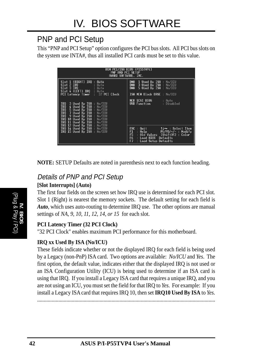### PNP and PCI Setup

This "PNP and PCI Setup" option configures the PCI bus slots. All PCI bus slots on the system use INTA#, thus all installed PCI cards must be set to this value.

| PNP AND PCI SETUP<br>AWARD SOFTWARE, INC.                                                                                                                                                                                        | ROM PCI/ISA BIOS (PI55TVP4)                                                                                                                                                                                         |
|----------------------------------------------------------------------------------------------------------------------------------------------------------------------------------------------------------------------------------|---------------------------------------------------------------------------------------------------------------------------------------------------------------------------------------------------------------------|
| $Slot$ 1 (RIGHT) IRQ : Auto<br>Slot 2 IRQ<br>: Auto<br>Slot 3 IRQ<br>Slot 4 (LEFT) IRQ : Auto                                                                                                                                    | <b>DMA</b><br>1 Used By ISA : No/ICU<br>DMA<br>3 Used By ISA : No/ICU<br>DMA<br>5 Used By ISA : No/ICU                                                                                                              |
| PCI Latency Timer : 32 PCI Clock                                                                                                                                                                                                 | ISA MEM Block BASE : No/ICU                                                                                                                                                                                         |
| IRQ<br>3 Used By ISA : No/ICU<br>IRQ<br>4 Used By ISA : No/ICU<br>5 Used By ISA : No/ICU<br>IRO<br>7 Used By ISA : No/ICU<br>IRQ<br>9 Used By ISA : No/ICU<br>IRO.<br>IRQ 10 Used By ISA : No/ICU<br>IRO 11 Used By ISA : No/ICU | NCR SCSI BIOS<br>: Auto<br>USB Function<br>: Disabled                                                                                                                                                               |
| IRO 12 Used By ISA : No/ICU<br>IRQ 14 Used By ISA : No/ICU<br>IRO 15 Used By ISA : No/ICU                                                                                                                                        | ESC.<br>: Ouit<br>↑↓→← : Select Item<br>$\therefore$ Help $\qquad \qquad \_$<br>F1<br>$PU/PD/+/ - : Modify$<br>F5.<br>: Old Values (Shift)F2 : Color<br>F6 I<br>: Load BIOS Defaults<br>F7<br>: Load Setup Defaults |

**NOTE:** SETUP Defaults are noted in parenthesis next to each function heading.

### Details of PNP and PCI Setup

#### **[Slot Interrupts] (Auto)**

The first four fields on the screen set how IRQ use is determined for each PCI slot. Slot 1 (Right) is nearest the memory sockets. The default setting for each field is *Auto*, which uses auto-routing to determine IRQ use. The other options are manual settings of *NA, 9, 10, 11, 12, 14, or 15* for each slot.

#### **PCI Latency Timer (32 PCI Clock)**

"32 PCI Clock" enables maximum PCI performance for this motherboard.

#### **IRQ xx Used By ISA (No/ICU)**

These fields indicate whether or not the displayed IRQ for each field is being used by a Legacy (non-PnP) ISA card. Two options are available: *No/ICU* and *Yes*. The first option, the default value, indicates either that the displayed IRQ is not used or an ISA Configuration Utility (ICU) is being used to determine if an ISA card is using that IRQ. If you install a Legacy ISA card that requires a unique IRQ, and you are not using an ICU, you must set the field for that IRQ to *Yes*. For example: If you install a Legacy ISA card that requires IRQ 10, then set **IRQ10 Used By ISA** to *Yes*.

(Plug & Play / PCI) **IV. BIOS**<br> **Plug & Play / PCI)**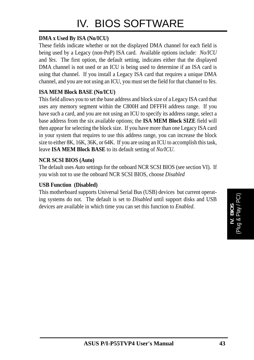#### **DMA x Used By ISA (No/ICU)**

These fields indicate whether or not the displayed DMA channel for each field is being used by a Legacy (non-PnP) ISA card. Available options include: *No/ICU* and *Yes*. The first option, the default setting, indicates either that the displayed DMA channel is not used or an ICU is being used to determine if an ISA card is using that channel. If you install a Legacy ISA card that requires a unique DMA channel, and you are not using an ICU, you must set the field for that channel to *Yes*.

#### **ISA MEM Block BASE (No/ICU)**

This field allows you to set the base address and block size of a Legacy ISA card that uses any memory segment within the C800H and DFFFH address range. If you have such a card, and you are not using an ICU to specify its address range, select a base address from the six available options; the **ISA MEM Block SIZE** field will then appear for selecting the block size. If you have more than one Legacy ISA card in your system that requires to use this address range, you can increase the block size to either 8K, 16K, 36K, or 64K. If you are using an ICU to accomplish this task, leave **ISA MEM Block BASE** to its default setting of *No/ICU*.

#### **NCR SCSI BIOS (Auto)**

The default uses *Auto* settings for the onboard NCR SCSI BIOS (see section VI). If you wish not to use the onboard NCR SCSI BIOS, choose *Disabled*

#### **USB Function (Disabled)**

This motherboard supports Universal Serial Bus (USB) devices but current operating systems do not. The default is set to *Disabled* until support disks and USB devices are available in which time you can set this function to *Enabled*.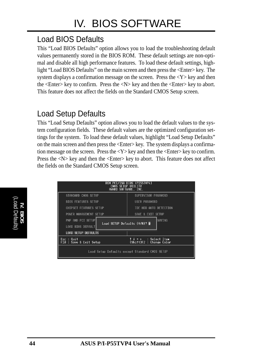## Load BIOS Defaults

This "Load BIOS Defaults" option allows you to load the troubleshooting default values permanently stored in the BIOS ROM. These default settings are non-optimal and disable all high performance features. To load these default settings, highlight "Load BIOS Defaults" on the main screen and then press the <Enter> key. The system displays a confirmation message on the screen. Press the  $\langle Y \rangle$  key and then the  $\leq$ Enter $\geq$  key to confirm. Press the  $\leq$ N $\geq$  key and then the  $\leq$ Enter $\geq$  key to abort. This feature does not affect the fields on the Standard CMOS Setup screen.

## Load Setup Defaults

This "Load Setup Defaults" option allows you to load the default values to the system configuration fields. These default values are the optimized configuration settings for the system. To load these default values, highlight "Load Setup Defaults" on the main screen and then press the <Enter> key. The system displays a confirmation message on the screen. Press the  $\langle Y \rangle$  key and then the  $\langle$ Enter $\rangle$  key to confirm. Press the  $\langle N \rangle$  key and then the  $\langle$ Enter $\rangle$  key to abort. This feature does not affect the fields on the Standard CMOS Setup screen.

| PCI/ISA BIOS (PI55IVP4)<br>кпи.<br>CMOS SETUP UTILITY<br>AWARD SOFTWARE, INC.             |                        |  |
|-------------------------------------------------------------------------------------------|------------------------|--|
| STANDARD CMOS SETUP                                                                       | SUPERVISOR PASSWORD    |  |
| <b>BIOS FEATURES SETUP</b>                                                                | USER PASSWORD          |  |
| CHIPSET FEATURES SETUP                                                                    | IDE HDD AUTO DETECTION |  |
| POWER MANAGEMENT SETUP                                                                    | SAVE & EXIT SETUP      |  |
| PNP AND PCT SFTUP<br>SAVTNG<br>Load SETUP Defaults (Y/N)? W<br>LOAD BIOS DEFAULT          |                        |  |
| LOAD SETUP DEFAULTS                                                                       |                        |  |
| ↑↓ → ← : Select Item<br>Esc : Ouit<br>(Shift)F2 : Change Color<br>F10 : Save & Exit Setup |                        |  |
| Load Setup Defaults except Standard CMOS SETUP                                            |                        |  |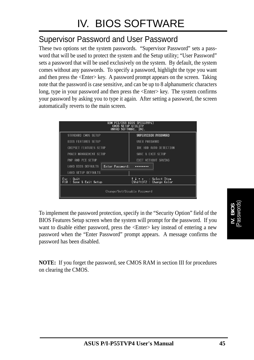## Supervisor Password and User Password

These two options set the system passwords. "Supervisor Password" sets a password that will be used to protect the system and the Setup utility; "User Password" sets a password that will be used exclusively on the system. By default, the system comes without any passwords. To specify a password, highlight the type you want and then press the <Enter> key. A password prompt appears on the screen. Taking note that the password is case sensitive, and can be up to 8 alphanumeric characters long, type in your password and then press the  $\leq$  Enter $\geq$  key. The system confirms your password by asking you to type it again. After setting a password, the screen automatically reverts to the main screen.

| ROM PCI/ISA BIOS (PI55TVP4)<br>CMOS SETUP UTTLITY<br>AWARD SOFTWARE, INC.             |                        |  |
|---------------------------------------------------------------------------------------|------------------------|--|
| STANDARD CMOS SETUP                                                                   | SUPERVISOR PASSWORD    |  |
| <b>BIOS FEATURES SETUP</b>                                                            | USER PASSWORD          |  |
| CHIPSET FEATURES SETUP                                                                | TDE HDD AUTO DETECTION |  |
| POWER MANAGEMENT SETUP                                                                | SAVE & EXIT SETUP      |  |
| PNP AND PCI SETUP                                                                     | EXIT WITHOUT SAVING    |  |
| LOAD BIOS DEFAULTS<br>Enter Password:                                                 |                        |  |
| LOAD SETUP DEFAULTS                                                                   |                        |  |
| Esc: 0uit<br>→ ← : Select Item<br>(Shift)F2 : Change Color<br>F10 : Save & Exit Setup |                        |  |
| Change/Set/Disable Password                                                           |                        |  |

To implement the password protection, specify in the "Security Option" field of the BIOS Features Setup screen when the system will prompt for the password. If you want to disable either password, press the <Enter> key instead of entering a new password when the "Enter Password" prompt appears. A message confirms the password has been disabled.

**NOTE:** If you forget the password, see CMOS RAM in section III for procedures on clearing the CMOS.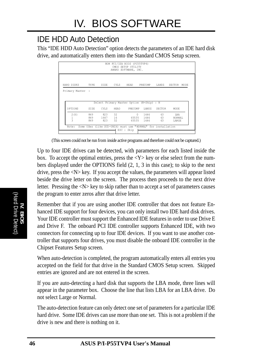### IDE HDD Auto Detection

This "IDE HDD Auto Detection" option detects the parameters of an IDE hard disk drive, and automatically enters them into the Standard CMOS Setup screen.



(This screen could not be run from inside active programs and therefore could not be captured.)

Up to four IDE drives can be detected, with parameters for each listed inside the box. To accept the optimal entries, press the  $\langle Y \rangle$  key or else select from the numbers displayed under the OPTIONS field (2, 1, 3 in this case); to skip to the next drive, press the  $\langle N \rangle$  key. If you accept the values, the parameters will appear listed beside the drive letter on the screen. The process then proceeds to the next drive letter. Pressing the  $\langle N \rangle$  key to skip rather than to accept a set of parameters causes the program to enter zeros after that drive letter.

Remember that if you are using another IDE controller that does not feature Enhanced IDE support for four devices, you can only install two IDE hard disk drives. Your IDE controller must support the Enhanced IDE features in order to use Drive E and Drive F. The onboard PCI IDE controller supports Enhanced IDE, with two connectors for connecting up to four IDE devices. If you want to use another controller that supports four drives, you must disable the onboard IDE controller in the Chipset Features Setup screen.

When auto-detection is completed, the program automatically enters all entries you accepted on the field for that drive in the Standard CMOS Setup screen. Skipped entries are ignored and are not entered in the screen.

If you are auto-detecting a hard disk that supports the LBA mode, three lines will appear in the parameter box. Choose the line that lists LBA for an LBA drive. Do not select Large or Normal.

The auto-detection feature can only detect one set of parameters for a particular IDE hard drive. Some IDE drives can use more than one set. This is not a problem if the drive is new and there is nothing on it.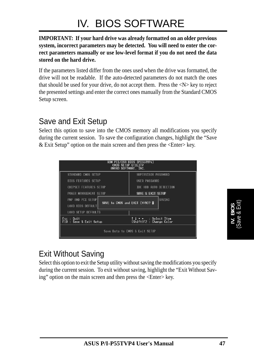**IMPORTANT: If your hard drive was already formatted on an older previous system, incorrect parameters may be detected. You will need to enter the correct parameters manually or use low-level format if you do not need the data stored on the hard drive.**

If the parameters listed differ from the ones used when the drive was formatted, the drive will not be readable. If the auto-detected parameters do not match the ones that should be used for your drive, do not accept them. Press the  $\langle N \rangle$  key to reject the presented settings and enter the correct ones manually from the Standard CMOS Setup screen.

### Save and Exit Setup

Select this option to save into the CMOS memory all modifications you specify during the current session. To save the configuration changes, highlight the "Save  $&Exit Setup"$  option on the main screen and then press the  $key$ .

| PCI/ISA BIOS (PI55TVP4)<br>ROM<br>CMOS SETUP UTILITY<br>AWARD SOFTWARE, INC.                                      |                        |  |
|-------------------------------------------------------------------------------------------------------------------|------------------------|--|
| STANDARD CMOS SETUP                                                                                               | SUPERVISOR PASSWORD    |  |
| <b>BIOS FEATURES SETUP</b>                                                                                        | USER PASSWORD          |  |
| CHIPSET FEATURES SETUP                                                                                            | IDE HDD AUTO DETECTION |  |
| POWER MANAGEMENT SETUP                                                                                            | SAVE & EXIT SETUP      |  |
| PNP AND PCI SETUP<br>SAVING<br>SAVE to CMOS and EXIT (Y/N)? U<br>LOAD BIOS DEFAULT                                |                        |  |
| LOAD SETUP DEFAULTS                                                                                               |                        |  |
| Ouit<br>↑↓ → ←   : Select Item<br>$Esc$ :<br>$\frac{1}{2}$ (Shift) $F2$ : Change Color<br>F10 : Save & Exit Setup |                        |  |
| Save Data to CMOS & Exit SETUP                                                                                    |                        |  |

# Exit Without Saving

Select this option to exit the Setup utility without saving the modifications you specify during the current session. To exit without saving, highlight the "Exit Without Saving" option on the main screen and then press the <Enter> key.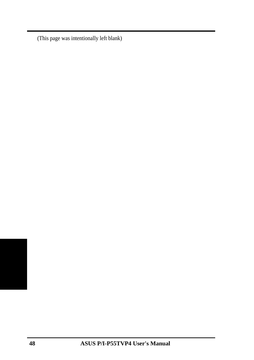(This page was intentionally left blank)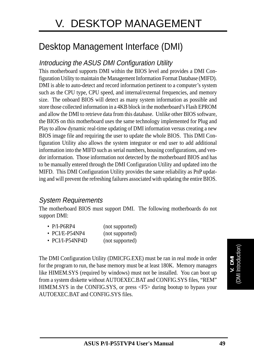# Desktop Management Interface (DMI)

### Introducing the ASUS DMI Configuration Utility

This motherboard supports DMI within the BIOS level and provides a DMI Configuration Utility to maintain the Management Information Format Database (MIFD). DMI is able to auto-detect and record information pertinent to a computer's system such as the CPU type, CPU speed, and internal/external frequencies, and memory size. The onboard BIOS will detect as many system information as possible and store those collected information in a 4KB block in the motherboard's Flash EPROM and allow the DMI to retrieve data from this database. Unlike other BIOS software, the BIOS on this motherboard uses the same technology implemented for Plug and Play to allow dynamic real-time updating of DMI information versus creating a new BIOS image file and requiring the user to update the whole BIOS. This DMI Configuration Utility also allows the system integrator or end user to add additional information into the MIFD such as serial numbers, housing configurations, and vendor information. Those information not detected by the motherboard BIOS and has to be manually entered through the DMI Configuration Utility and updated into the MIFD. This DMI Configuration Utility provides the same reliability as PnP updating and will prevent the refreshing failures associated with updating the entire BIOS.

### System Requirements

The motherboard BIOS must support DMI. The following motherboards do not support DMI:

| • $P/I-P6RP4$          | (not supported) |
|------------------------|-----------------|
| $\bullet$ PCI/E-P54NP4 | (not supported) |
| $\cdot$ PCI/I-P54NP4D  | (not supported) |

The DMI Configuration Utility (DMICFG.EXE) must be ran in real mode in order for the program to run, the base memory must be at least 180K. Memory managers like HIMEM.SYS (required by windows) must not be installed. You can boot up from a system diskette without AUTOEXEC.BAT and CONFIG.SYS files, "REM" HIMEM.SYS in the CONFIG.SYS, or press <F5> during bootup to bypass your AUTOEXEC.BAT and CONFIG.SYS files.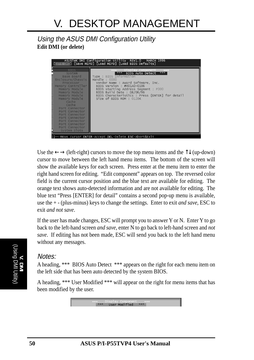### Using the ASUS DMI Configuration Utility **Edit DMI (or delete)**



Use the  $\leftarrow \rightarrow$  (left-right) cursors to move the top menu items and the  $\uparrow \downarrow$  (up-down) cursor to move between the left hand menu items. The bottom of the screen will show the available keys for each screen. Press enter at the menu item to enter the right hand screen for editing. "Edit component" appears on top. The reversed color field is the current cursor position and the blue text are available for editing. The orange text shows auto-detected information and are not available for editing. The blue text "Press [ENTER] for detail" contains a second pop-up menu is available, use the + - (plus-minus) keys to change the settings. Enter to exit *and save*, ESC to exit *and not save*.

If the user has made changes, ESC will prompt you to answer Y or N. Enter Y to go back to the left-hand screen *and save*, enter N to go back to left-hand screen and *not save*. If editing has not been made, ESC will send you back to the left hand menu without any messages.

#### Notes:

A heading, \*\*\* BIOS Auto Detect \*\*\* appears on the right for each menu item on the left side that has been auto detected by the system BIOS.

A heading, \*\*\* User Modified \*\*\* will appear on the right for menu items that has been modified by the user.

\*\*\* Display Component<br>\*\*\* User Modified \*\*\*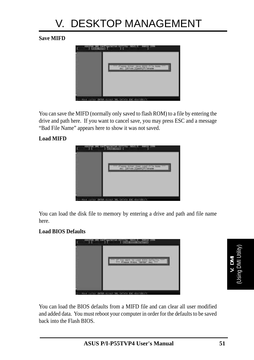# V. DESKTOP MANAGEMENT

**Save MIFD**



You can save the MIFD (normally only saved to flash ROM) to a file by entering the drive and path here. If you want to cancel save, you may press ESC and a message "Bad File Name" appears here to show it was not saved.

#### **Load MIFD**



You can load the disk file to memory by entering a drive and path and file name here.

#### **Load BIOS Defaults**



(Using DMI Utility)Jsing DMI Utili **V. DMI**

You can load the BIOS defaults from a MIFD file and can clear all user modified and added data. You must reboot your computer in order for the defaults to be saved back into the Flash BIOS.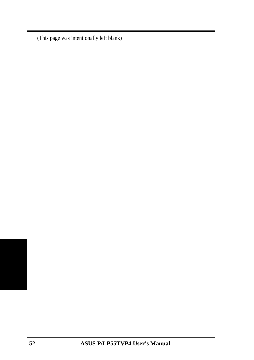(This page was intentionally left blank)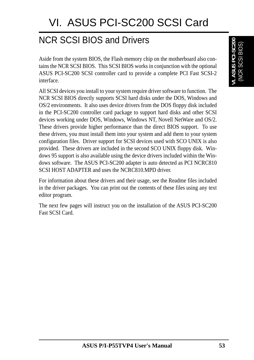# NCR SCSI BIOS and Drivers

Aside from the system BIOS, the Flash memory chip on the motherboard also contains the NCR SCSI BIOS. This SCSI BIOS works in conjunction with the optional ASUS PCI-SC200 SCSI controller card to provide a complete PCI Fast SCSI-2 interface.

All SCSI devices you install to your system require driver software to function. The NCR SCSI BIOS directly supports SCSI hard disks under the DOS, Windows and OS/2 environments. It also uses device drivers from the DOS floppy disk included in the PCI-SC200 controller card package to support hard disks and other SCSI devices working under DOS, Windows, Windows NT, Novell NetWare and OS/2. These drivers provide higher performance than the direct BIOS support. To use these drivers, you must install them into your system and add them to your system configuration files. Driver support for SCSI devices used with SCO UNIX is also provided. These drivers are included in the second SCO UNIX floppy disk. Windows 95 support is also available using the device drivers included within the Windows software. The ASUS PCI-SC200 adapter is auto detected as PCI NCRC810 SCSI HOST ADAPTER and uses the NCRC810.MPD driver.

For information about these drivers and their usage, see the Readme files included in the driver packages. You can print out the contents of these files using any text editor program.

The next few pages will instruct you on the installation of the ASUS PCI-SC200 Fast SCSI Card.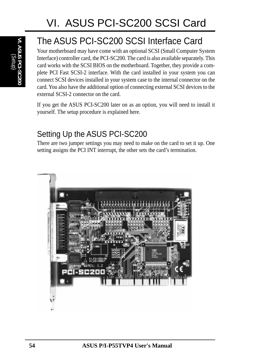# The ASUS PCI-SC200 SCSI Interface Card

Your motherboard may have come with an optional SCSI (Small Computer System Interface) controller card, the PCI-SC200. The card is also available separately. This card works with the SCSI BIOS on the motherboard. Together, they provide a complete PCI Fast SCSI-2 interface. With the card installed in your system you can connect SCSI devices installed in your system case to the internal connector on the card. You also have the additional option of connecting external SCSI devices to the external SCSI-2 connector on the card.

If you get the ASUS PCI-SC200 later on as an option, you will need to install it yourself. The setup procedure is explained here.

# Setting Up the ASUS PCI-SC200

There are two jumper settings you may need to make on the card to set it up. One setting assigns the PCI INT interrupt, the other sets the card's termination.

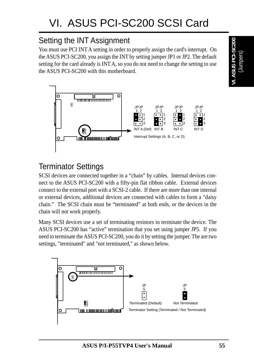# Setting the INT Assignment

You must use PCI INT A setting in order to properly assign the card's interrupt. On the ASUS PCI-SC200, you assign the INT by setting jumper JP1 or JP2. The default setting for the card already is INT A, so you do not need to change the setting to use the ASUS PCI-SC200 with this motherboard.



# Terminator Settings

SCSI devices are connected together in a "chain" by cables. Internal devices connect to the ASUS PCI-SC200 with a fifty-pin flat ribbon cable. External devices connect to the external port with a SCSI-2 cable. If there are more than one internal or external devices, additional devices are connected with cables to form a "daisy chain." The SCSI chain must be "terminated" at both ends, or the devices in the chain will not work properly.

Many SCSI devices use a set of terminating resistors to terminate the device. The ASUS PCI-SC200 has "active" termination that you set using jumper JP5. If you need to terminate the ASUS PCI-SC200, you do it by setting the jumper. The are two settings, "terminated" and "not terminated," as shown below.

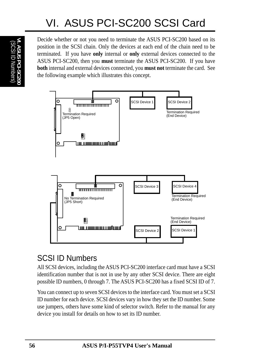# VI. ASUS PCI-SC200 SCSI Card

**VI. ASUS PCI-SC200** (SCSI ID Numbers)

Decide whether or not you need to terminate the ASUS PCI-SC200 based on its position in the SCSI chain. Only the devices at each end of the chain need to be terminated. If you have **only** internal or **only** external devices connected to the ASUS PCI-SC200, then you **must** terminate the ASUS PCI-SC200. If you have **both** internal and external devices connected, you **must not** terminate the card. See the following example which illustrates this concept.



## SCSI ID Numbers

All SCSI devices, including the ASUS PCI-SC200 interface card must have a SCSI identification number that is not in use by any other SCSI device. There are eight possible ID numbers, 0 through 7. The ASUS PCI-SC200 has a fixed SCSI ID of 7.

You can connect up to seven SCSI devices to the interface card. You must set a SCSI ID number for each device. SCSI devices vary in how they set the ID number. Some use jumpers, others have some kind of selector switch. Refer to the manual for any device you install for details on how to set its ID number.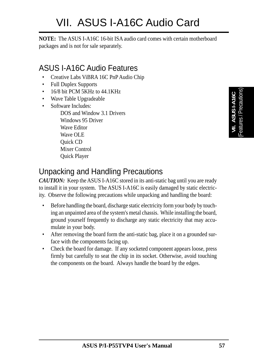# VII. ASUS I-A16C Audio Card

**NOTE:** The ASUS I-A16C 16-bit ISA audio card comes with certain motherboard packages and is not for sale separately.

### ASUS I-A16C Audio Features

- Creative Labs ViBRA 16C PnP Audio Chip
- Full Duplex Supports
- 16/8 bit PCM 5KHz to 44.1KHz
- Wave Table Upgradeable
- Software Includes:

DOS and Window 3.1 Drivers Windows 95 Driver Wave Editor Wave OLE Quick CD Mixer Control Quick Player

## Unpacking and Handling Precautions

*CAUTION*: Keep the ASUS I-A16C stored in its anti-static bag until you are ready to install it in your system. The ASUS I-A16C is easily damaged by static electricity. Observe the following precautions while unpacking and handling the board:

- Before handling the board, discharge static electricity form your body by touching an unpainted area of the system's metal chassis. While installing the board, ground yourself frequently to discharge any static electricity that may accumulate in your body.
- After removing the board form the anti-static bag, place it on a grounded surface with the components facing up.
- Check the board for damage. If any socketed component appears loose, press firmly but carefully to seat the chip in its socket. Otherwise, avoid touching the components on the board. Always handle the board by the edges.